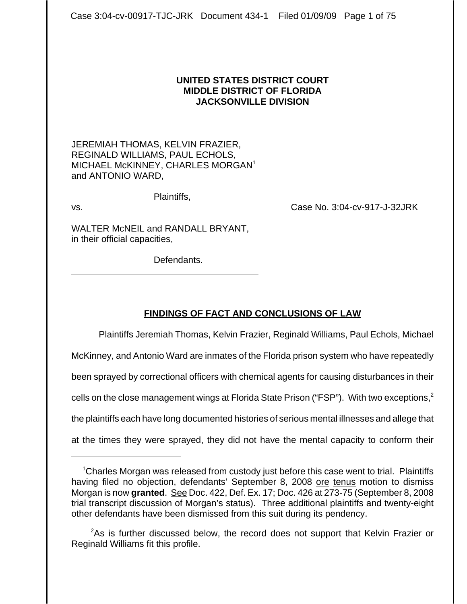### **UNITED STATES DISTRICT COURT MIDDLE DISTRICT OF FLORIDA JACKSONVILLE DIVISION**

JEREMIAH THOMAS, KELVIN FRAZIER, REGINALD WILLIAMS, PAUL ECHOLS, MICHAEL McKINNEY, CHARLES MORGAN<sup>1</sup> and ANTONIO WARD,

Plaintiffs,

 $\overline{a}$ 

vs. Case No. 3:04-cv-917-J-32JRK

WALTER McNEIL and RANDALL BRYANT, in their official capacities,

Defendants.

# **FINDINGS OF FACT AND CONCLUSIONS OF LAW**

Plaintiffs Jeremiah Thomas, Kelvin Frazier, Reginald Williams, Paul Echols, Michael McKinney, and Antonio Ward are inmates of the Florida prison system who have repeatedly been sprayed by correctional officers with chemical agents for causing disturbances in their cells on the close management wings at Florida State Prison ("FSP"). With two exceptions,  $2^{\circ}$ the plaintiffs each have long documented histories of serious mental illnesses and allege that at the times they were sprayed, they did not have the mental capacity to conform their

<sup>&</sup>lt;sup>1</sup>Charles Morgan was released from custody just before this case went to trial. Plaintiffs having filed no objection, defendants' September 8, 2008 ore tenus motion to dismiss Morgan is now **granted**. See Doc. 422, Def. Ex. 17; Doc. 426 at 273-75 (September 8, 2008 trial transcript discussion of Morgan's status). Three additional plaintiffs and twenty-eight other defendants have been dismissed from this suit during its pendency.

<sup>&</sup>lt;sup>2</sup>As is further discussed below, the record does not support that Kelvin Frazier or Reginald Williams fit this profile.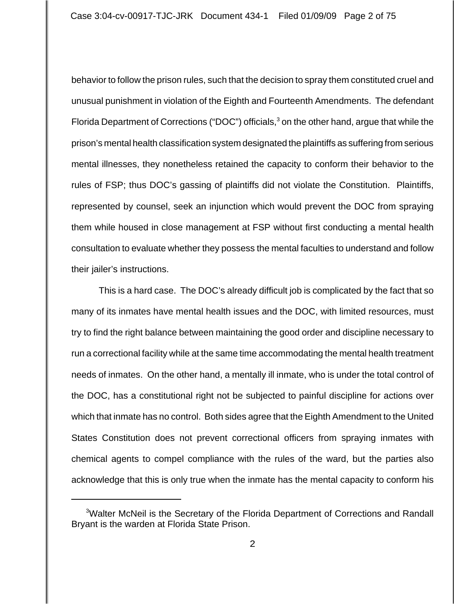behavior to follow the prison rules, such that the decision to spray them constituted cruel and unusual punishment in violation of the Eighth and Fourteenth Amendments. The defendant Florida Department of Corrections ("DOC") officials,  $3$  on the other hand, argue that while the prison's mental health classification system designated the plaintiffs as suffering from serious mental illnesses, they nonetheless retained the capacity to conform their behavior to the rules of FSP; thus DOC's gassing of plaintiffs did not violate the Constitution. Plaintiffs, represented by counsel, seek an injunction which would prevent the DOC from spraying them while housed in close management at FSP without first conducting a mental health consultation to evaluate whether they possess the mental faculties to understand and follow their jailer's instructions.

This is a hard case. The DOC's already difficult job is complicated by the fact that so many of its inmates have mental health issues and the DOC, with limited resources, must try to find the right balance between maintaining the good order and discipline necessary to run a correctional facility while at the same time accommodating the mental health treatment needs of inmates. On the other hand, a mentally ill inmate, who is under the total control of the DOC, has a constitutional right not be subjected to painful discipline for actions over which that inmate has no control. Both sides agree that the Eighth Amendment to the United States Constitution does not prevent correctional officers from spraying inmates with chemical agents to compel compliance with the rules of the ward, but the parties also acknowledge that this is only true when the inmate has the mental capacity to conform his

<sup>&</sup>lt;sup>3</sup>Walter McNeil is the Secretary of the Florida Department of Corrections and Randall Bryant is the warden at Florida State Prison.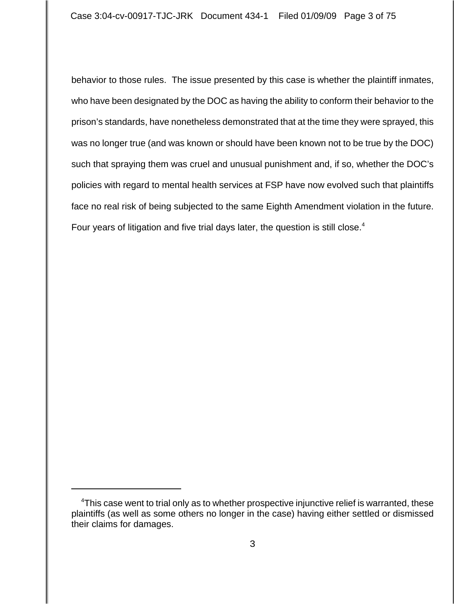behavior to those rules. The issue presented by this case is whether the plaintiff inmates, who have been designated by the DOC as having the ability to conform their behavior to the prison's standards, have nonetheless demonstrated that at the time they were sprayed, this was no longer true (and was known or should have been known not to be true by the DOC) such that spraying them was cruel and unusual punishment and, if so, whether the DOC's policies with regard to mental health services at FSP have now evolved such that plaintiffs face no real risk of being subjected to the same Eighth Amendment violation in the future. Four years of litigation and five trial days later, the question is still close.<sup>4</sup>

<sup>&</sup>lt;sup>4</sup>This case went to trial only as to whether prospective injunctive relief is warranted, these plaintiffs (as well as some others no longer in the case) having either settled or dismissed their claims for damages.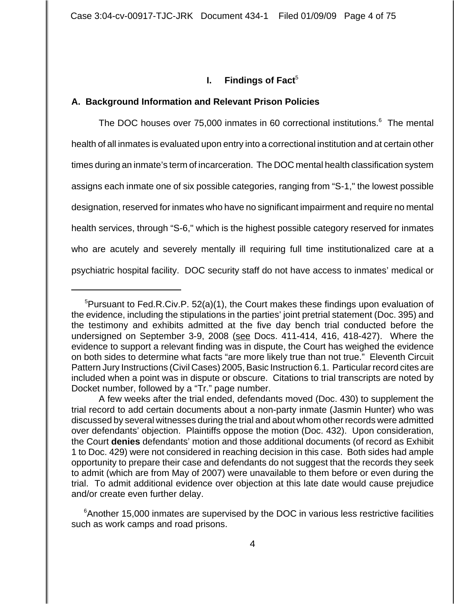### **I.** Findings of Fact<sup>5</sup>

#### **A. Background Information and Relevant Prison Policies**

The DOC houses over 75,000 inmates in 60 correctional institutions.<sup>6</sup> The mental health of all inmates is evaluated upon entry into a correctional institution and at certain other times during an inmate's term of incarceration. The DOC mental health classification system assigns each inmate one of six possible categories, ranging from "S-1," the lowest possible designation, reserved for inmates who have no significant impairment and require no mental health services, through "S-6," which is the highest possible category reserved for inmates who are acutely and severely mentally ill requiring full time institutionalized care at a psychiatric hospital facility. DOC security staff do not have access to inmates' medical or

<sup>&</sup>lt;sup>5</sup>Pursuant to Fed.R.Civ.P. 52(a)(1), the Court makes these findings upon evaluation of the evidence, including the stipulations in the parties' joint pretrial statement (Doc. 395) and the testimony and exhibits admitted at the five day bench trial conducted before the undersigned on September 3-9, 2008 (see Docs. 411-414, 416, 418-427). Where the evidence to support a relevant finding was in dispute, the Court has weighed the evidence on both sides to determine what facts "are more likely true than not true." Eleventh Circuit Pattern Jury Instructions (Civil Cases) 2005, Basic Instruction 6.1. Particular record cites are included when a point was in dispute or obscure. Citations to trial transcripts are noted by Docket number, followed by a "Tr." page number.

A few weeks after the trial ended, defendants moved (Doc. 430) to supplement the trial record to add certain documents about a non-party inmate (Jasmin Hunter) who was discussed by several witnesses during the trial and about whom other records were admitted over defendants' objection. Plaintiffs oppose the motion (Doc. 432). Upon consideration, the Court **denies** defendants' motion and those additional documents (of record as Exhibit 1 to Doc. 429) were not considered in reaching decision in this case. Both sides had ample opportunity to prepare their case and defendants do not suggest that the records they seek to admit (which are from May of 2007) were unavailable to them before or even during the trial. To admit additional evidence over objection at this late date would cause prejudice and/or create even further delay.

<sup>&</sup>lt;sup>6</sup> Another 15,000 inmates are supervised by the DOC in various less restrictive facilities such as work camps and road prisons.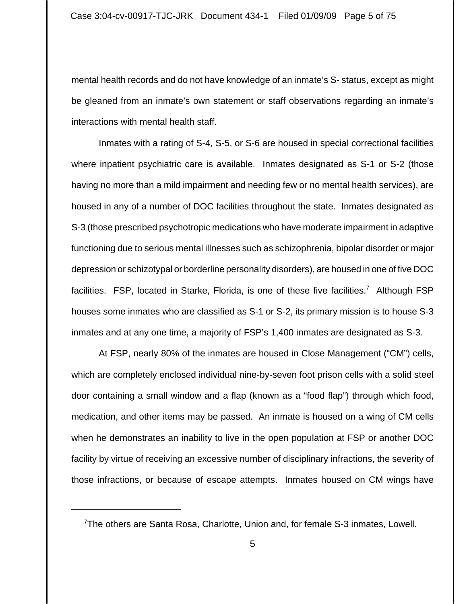mental health records and do not have knowledge of an inmate's S- status, except as might be gleaned from an inmate's own statement or staff observations regarding an inmate's interactions with mental health staff.

Inmates with a rating of S-4, S-5, or S-6 are housed in special correctional facilities where inpatient psychiatric care is available. Inmates designated as S-1 or S-2 (those having no more than a mild impairment and needing few or no mental health services), are housed in any of a number of DOC facilities throughout the state. Inmates designated as S-3 (those prescribed psychotropic medications who have moderate impairment in adaptive functioning due to serious mental illnesses such as schizophrenia, bipolar disorder or major depression or schizotypal or borderline personality disorders), are housed in one of five DOC facilities. FSP, located in Starke, Florida, is one of these five facilities.<sup>7</sup> Although FSP houses some inmates who are classified as S-1 or S-2, its primary mission is to house S-3 inmates and at any one time, a majority of FSP's 1,400 inmates are designated as S-3.

At FSP, nearly 80% of the inmates are housed in Close Management ("CM") cells, which are completely enclosed individual nine-by-seven foot prison cells with a solid steel door containing a small window and a flap (known as a "food flap") through which food, medication, and other items may be passed. An inmate is housed on a wing of CM cells when he demonstrates an inability to live in the open population at FSP or another DOC facility by virtue of receiving an excessive number of disciplinary infractions, the severity of those infractions, or because of escape attempts. Inmates housed on CM wings have

<sup>&</sup>lt;sup>7</sup>The others are Santa Rosa, Charlotte, Union and, for female S-3 inmates, Lowell.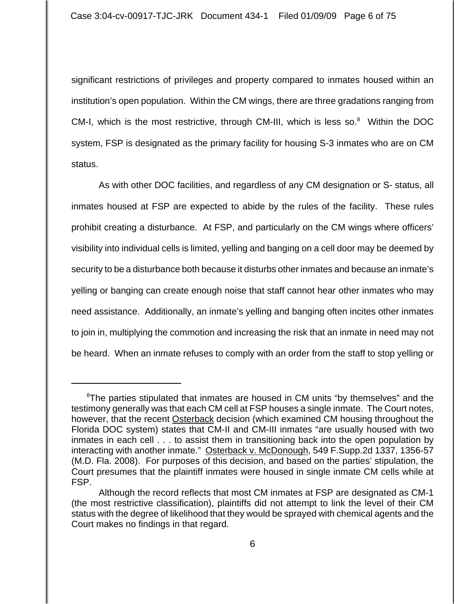significant restrictions of privileges and property compared to inmates housed within an institution's open population. Within the CM wings, there are three gradations ranging from CM-I, which is the most restrictive, through CM-III, which is less so. $8$  Within the DOC system, FSP is designated as the primary facility for housing S-3 inmates who are on CM status.

As with other DOC facilities, and regardless of any CM designation or S- status, all inmates housed at FSP are expected to abide by the rules of the facility. These rules prohibit creating a disturbance. At FSP, and particularly on the CM wings where officers' visibility into individual cells is limited, yelling and banging on a cell door may be deemed by security to be a disturbance both because it disturbs other inmates and because an inmate's yelling or banging can create enough noise that staff cannot hear other inmates who may need assistance. Additionally, an inmate's yelling and banging often incites other inmates to join in, multiplying the commotion and increasing the risk that an inmate in need may not be heard. When an inmate refuses to comply with an order from the staff to stop yelling or

<sup>&</sup>lt;sup>8</sup>The parties stipulated that inmates are housed in CM units "by themselves" and the testimony generally was that each CM cell at FSP houses a single inmate. The Court notes, however, that the recent Osterback decision (which examined CM housing throughout the Florida DOC system) states that CM-II and CM-III inmates "are usually housed with two inmates in each cell . . . to assist them in transitioning back into the open population by interacting with another inmate." Osterback v. McDonough, 549 F.Supp.2d 1337, 1356-57 (M.D. Fla. 2008). For purposes of this decision, and based on the parties' stipulation, the Court presumes that the plaintiff inmates were housed in single inmate CM cells while at FSP.

Although the record reflects that most CM inmates at FSP are designated as CM-1 (the most restrictive classification), plaintiffs did not attempt to link the level of their CM status with the degree of likelihood that they would be sprayed with chemical agents and the Court makes no findings in that regard.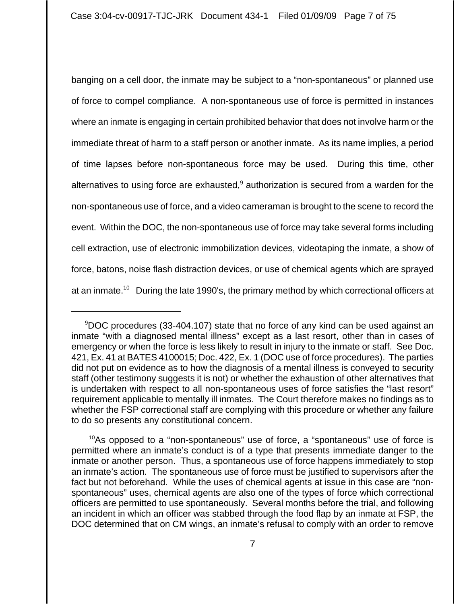banging on a cell door, the inmate may be subject to a "non-spontaneous" or planned use of force to compel compliance. A non-spontaneous use of force is permitted in instances where an inmate is engaging in certain prohibited behavior that does not involve harm or the immediate threat of harm to a staff person or another inmate. As its name implies, a period of time lapses before non-spontaneous force may be used. During this time, other alternatives to using force are exhausted, $9$  authorization is secured from a warden for the non-spontaneous use of force, and a video cameraman is brought to the scene to record the event. Within the DOC, the non-spontaneous use of force may take several forms including cell extraction, use of electronic immobilization devices, videotaping the inmate, a show of force, batons, noise flash distraction devices, or use of chemical agents which are sprayed at an inmate.<sup>10</sup> During the late 1990's, the primary method by which correctional officers at

<sup>9</sup> DOC procedures (33-404.107) state that no force of any kind can be used against an inmate "with a diagnosed mental illness" except as a last resort, other than in cases of emergency or when the force is less likely to result in injury to the inmate or staff. See Doc. 421, Ex. 41 at BATES 4100015; Doc. 422, Ex. 1 (DOC use of force procedures). The parties did not put on evidence as to how the diagnosis of a mental illness is conveyed to security staff (other testimony suggests it is not) or whether the exhaustion of other alternatives that is undertaken with respect to all non-spontaneous uses of force satisfies the "last resort" requirement applicable to mentally ill inmates. The Court therefore makes no findings as to whether the FSP correctional staff are complying with this procedure or whether any failure to do so presents any constitutional concern.

 $10$ As opposed to a "non-spontaneous" use of force, a "spontaneous" use of force is permitted where an inmate's conduct is of a type that presents immediate danger to the inmate or another person. Thus, a spontaneous use of force happens immediately to stop an inmate's action. The spontaneous use of force must be justified to supervisors after the fact but not beforehand. While the uses of chemical agents at issue in this case are "nonspontaneous" uses, chemical agents are also one of the types of force which correctional officers are permitted to use spontaneously. Several months before the trial, and following an incident in which an officer was stabbed through the food flap by an inmate at FSP, the DOC determined that on CM wings, an inmate's refusal to comply with an order to remove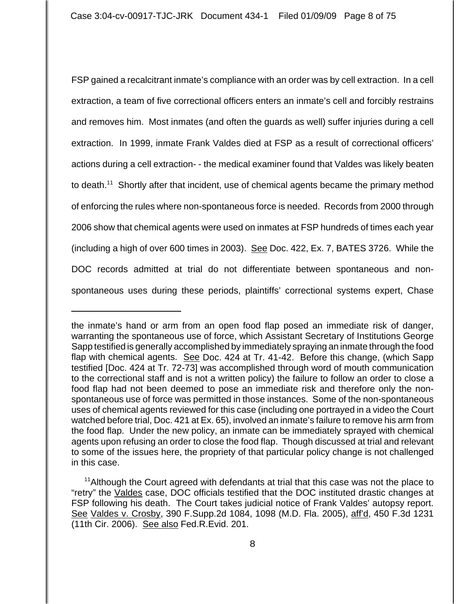FSP gained a recalcitrant inmate's compliance with an order was by cell extraction. In a cell extraction, a team of five correctional officers enters an inmate's cell and forcibly restrains and removes him. Most inmates (and often the guards as well) suffer injuries during a cell extraction. In 1999, inmate Frank Valdes died at FSP as a result of correctional officers' actions during a cell extraction- - the medical examiner found that Valdes was likely beaten to death.<sup>11</sup> Shortly after that incident, use of chemical agents became the primary method of enforcing the rules where non-spontaneous force is needed. Records from 2000 through 2006 show that chemical agents were used on inmates at FSP hundreds of times each year (including a high of over 600 times in 2003). See Doc. 422, Ex. 7, BATES 3726. While the DOC records admitted at trial do not differentiate between spontaneous and nonspontaneous uses during these periods, plaintiffs' correctional systems expert, Chase

the inmate's hand or arm from an open food flap posed an immediate risk of danger, warranting the spontaneous use of force, which Assistant Secretary of Institutions George Sapp testified is generally accomplished by immediately spraying an inmate through the food flap with chemical agents. See Doc. 424 at Tr. 41-42. Before this change, (which Sapp testified [Doc. 424 at Tr. 72-73] was accomplished through word of mouth communication to the correctional staff and is not a written policy) the failure to follow an order to close a food flap had not been deemed to pose an immediate risk and therefore only the nonspontaneous use of force was permitted in those instances. Some of the non-spontaneous uses of chemical agents reviewed for this case (including one portrayed in a video the Court watched before trial, Doc. 421 at Ex. 65), involved an inmate's failure to remove his arm from the food flap. Under the new policy, an inmate can be immediately sprayed with chemical agents upon refusing an order to close the food flap. Though discussed at trial and relevant to some of the issues here, the propriety of that particular policy change is not challenged in this case.

<sup>&</sup>lt;sup>11</sup> Although the Court agreed with defendants at trial that this case was not the place to "retry" the Valdes case, DOC officials testified that the DOC instituted drastic changes at FSP following his death. The Court takes judicial notice of Frank Valdes' autopsy report. See Valdes v. Crosby, 390 F.Supp.2d 1084, 1098 (M.D. Fla. 2005), aff'd, 450 F.3d 1231 (11th Cir. 2006). See also Fed.R.Evid. 201.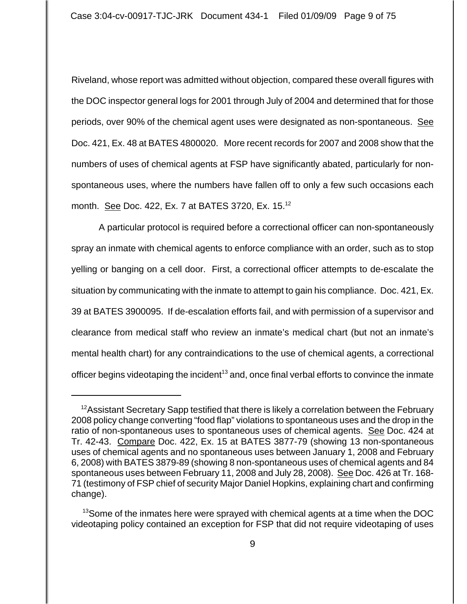Riveland, whose report was admitted without objection, compared these overall figures with the DOC inspector general logs for 2001 through July of 2004 and determined that for those periods, over 90% of the chemical agent uses were designated as non-spontaneous. See Doc. 421, Ex. 48 at BATES 4800020. More recent records for 2007 and 2008 show that the numbers of uses of chemical agents at FSP have significantly abated, particularly for nonspontaneous uses, where the numbers have fallen off to only a few such occasions each month. See Doc. 422, Ex. 7 at BATES 3720, Ex. 15.<sup>12</sup>

A particular protocol is required before a correctional officer can non-spontaneously spray an inmate with chemical agents to enforce compliance with an order, such as to stop yelling or banging on a cell door. First, a correctional officer attempts to de-escalate the situation by communicating with the inmate to attempt to gain his compliance. Doc. 421, Ex. 39 at BATES 3900095. If de-escalation efforts fail, and with permission of a supervisor and clearance from medical staff who review an inmate's medical chart (but not an inmate's mental health chart) for any contraindications to the use of chemical agents, a correctional officer begins videotaping the incident<sup>13</sup> and, once final verbal efforts to convince the inmate

 $12$ Assistant Secretary Sapp testified that there is likely a correlation between the February 2008 policy change converting "food flap" violations to spontaneous uses and the drop in the ratio of non-spontaneous uses to spontaneous uses of chemical agents. See Doc. 424 at Tr. 42-43. Compare Doc. 422, Ex. 15 at BATES 3877-79 (showing 13 non-spontaneous uses of chemical agents and no spontaneous uses between January 1, 2008 and February 6, 2008) with BATES 3879-89 (showing 8 non-spontaneous uses of chemical agents and 84 spontaneous uses between February 11, 2008 and July 28, 2008). See Doc. 426 at Tr. 168- 71 (testimony of FSP chief of security Major Daniel Hopkins, explaining chart and confirming change).

<sup>&</sup>lt;sup>13</sup>Some of the inmates here were sprayed with chemical agents at a time when the DOC videotaping policy contained an exception for FSP that did not require videotaping of uses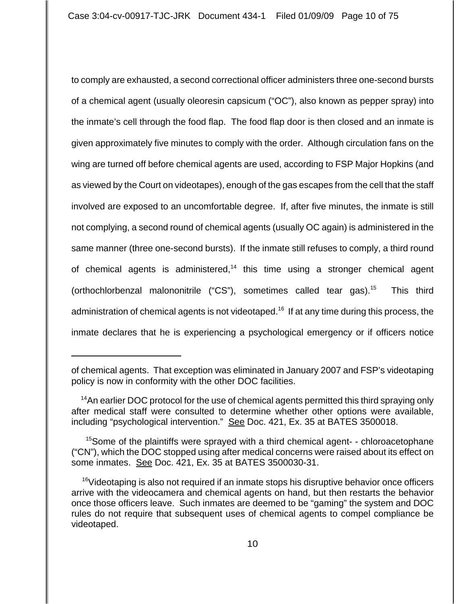to comply are exhausted, a second correctional officer administers three one-second bursts of a chemical agent (usually oleoresin capsicum ("OC"), also known as pepper spray) into the inmate's cell through the food flap. The food flap door is then closed and an inmate is given approximately five minutes to comply with the order. Although circulation fans on the wing are turned off before chemical agents are used, according to FSP Major Hopkins (and as viewed by the Court on videotapes), enough of the gas escapes from the cell that the staff involved are exposed to an uncomfortable degree. If, after five minutes, the inmate is still not complying, a second round of chemical agents (usually OC again) is administered in the same manner (three one-second bursts). If the inmate still refuses to comply, a third round of chemical agents is administered, $14$  this time using a stronger chemical agent (orthochlorbenzal malononitrile ("CS"), sometimes called tear gas).<sup>15</sup> This third administration of chemical agents is not videotaped.<sup>16</sup> If at any time during this process, the inmate declares that he is experiencing a psychological emergency or if officers notice

of chemical agents. That exception was eliminated in January 2007 and FSP's videotaping policy is now in conformity with the other DOC facilities.

<sup>&</sup>lt;sup>14</sup>An earlier DOC protocol for the use of chemical agents permitted this third spraying only after medical staff were consulted to determine whether other options were available, including "psychological intervention." See Doc. 421, Ex. 35 at BATES 3500018.

<sup>&</sup>lt;sup>15</sup>Some of the plaintiffs were sprayed with a third chemical agent- - chloroacetophane ("CN"), which the DOC stopped using after medical concerns were raised about its effect on some inmates. See Doc. 421, Ex. 35 at BATES 3500030-31.

<sup>&</sup>lt;sup>16</sup>Videotaping is also not required if an inmate stops his disruptive behavior once officers arrive with the videocamera and chemical agents on hand, but then restarts the behavior once those officers leave. Such inmates are deemed to be "gaming" the system and DOC rules do not require that subsequent uses of chemical agents to compel compliance be videotaped.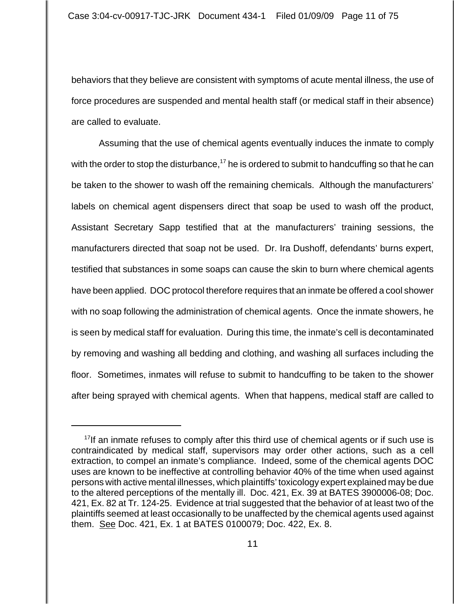behaviors that they believe are consistent with symptoms of acute mental illness, the use of force procedures are suspended and mental health staff (or medical staff in their absence) are called to evaluate.

 Assuming that the use of chemical agents eventually induces the inmate to comply with the order to stop the disturbance,<sup>17</sup> he is ordered to submit to handcuffing so that he can be taken to the shower to wash off the remaining chemicals. Although the manufacturers' labels on chemical agent dispensers direct that soap be used to wash off the product, Assistant Secretary Sapp testified that at the manufacturers' training sessions, the manufacturers directed that soap not be used. Dr. Ira Dushoff, defendants' burns expert, testified that substances in some soaps can cause the skin to burn where chemical agents have been applied. DOC protocol therefore requires that an inmate be offered a cool shower with no soap following the administration of chemical agents. Once the inmate showers, he is seen by medical staff for evaluation. During this time, the inmate's cell is decontaminated by removing and washing all bedding and clothing, and washing all surfaces including the floor. Sometimes, inmates will refuse to submit to handcuffing to be taken to the shower after being sprayed with chemical agents. When that happens, medical staff are called to

 $17$ If an inmate refuses to comply after this third use of chemical agents or if such use is contraindicated by medical staff, supervisors may order other actions, such as a cell extraction, to compel an inmate's compliance. Indeed, some of the chemical agents DOC uses are known to be ineffective at controlling behavior 40% of the time when used against persons with active mental illnesses, which plaintiffs' toxicology expert explained may be due to the altered perceptions of the mentally ill. Doc. 421, Ex. 39 at BATES 3900006-08; Doc. 421, Ex. 82 at Tr. 124-25. Evidence at trial suggested that the behavior of at least two of the plaintiffs seemed at least occasionally to be unaffected by the chemical agents used against them. See Doc. 421, Ex. 1 at BATES 0100079; Doc. 422, Ex. 8.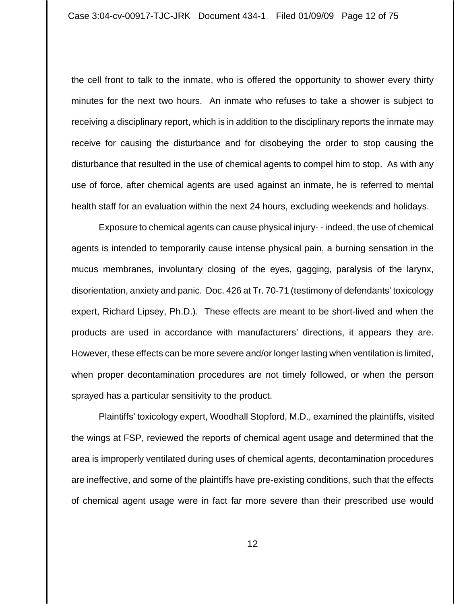the cell front to talk to the inmate, who is offered the opportunity to shower every thirty minutes for the next two hours. An inmate who refuses to take a shower is subject to receiving a disciplinary report, which is in addition to the disciplinary reports the inmate may receive for causing the disturbance and for disobeying the order to stop causing the disturbance that resulted in the use of chemical agents to compel him to stop. As with any use of force, after chemical agents are used against an inmate, he is referred to mental health staff for an evaluation within the next 24 hours, excluding weekends and holidays.

Exposure to chemical agents can cause physical injury- - indeed, the use of chemical agents is intended to temporarily cause intense physical pain, a burning sensation in the mucus membranes, involuntary closing of the eyes, gagging, paralysis of the larynx, disorientation, anxiety and panic. Doc. 426 at Tr. 70-71 (testimony of defendants' toxicology expert, Richard Lipsey, Ph.D.). These effects are meant to be short-lived and when the products are used in accordance with manufacturers' directions, it appears they are. However, these effects can be more severe and/or longer lasting when ventilation is limited, when proper decontamination procedures are not timely followed, or when the person sprayed has a particular sensitivity to the product.

 Plaintiffs' toxicology expert, Woodhall Stopford, M.D., examined the plaintiffs, visited the wings at FSP, reviewed the reports of chemical agent usage and determined that the area is improperly ventilated during uses of chemical agents, decontamination procedures are ineffective, and some of the plaintiffs have pre-existing conditions, such that the effects of chemical agent usage were in fact far more severe than their prescribed use would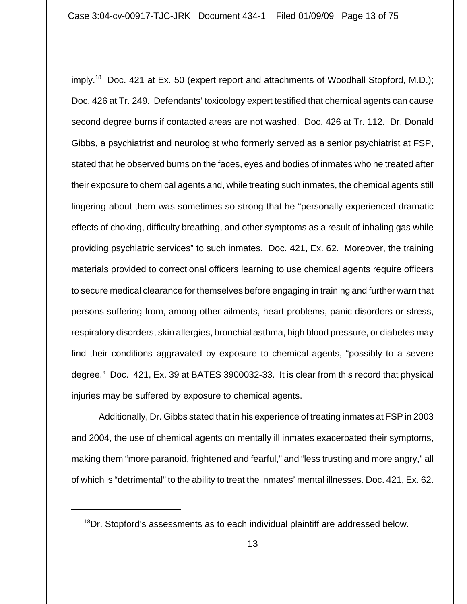imply.<sup>18</sup> Doc. 421 at Ex. 50 (expert report and attachments of Woodhall Stopford, M.D.); Doc. 426 at Tr. 249. Defendants' toxicology expert testified that chemical agents can cause second degree burns if contacted areas are not washed. Doc. 426 at Tr. 112. Dr. Donald Gibbs, a psychiatrist and neurologist who formerly served as a senior psychiatrist at FSP, stated that he observed burns on the faces, eyes and bodies of inmates who he treated after their exposure to chemical agents and, while treating such inmates, the chemical agents still lingering about them was sometimes so strong that he "personally experienced dramatic effects of choking, difficulty breathing, and other symptoms as a result of inhaling gas while providing psychiatric services" to such inmates. Doc. 421, Ex. 62. Moreover, the training materials provided to correctional officers learning to use chemical agents require officers to secure medical clearance for themselves before engaging in training and further warn that persons suffering from, among other ailments, heart problems, panic disorders or stress, respiratory disorders, skin allergies, bronchial asthma, high blood pressure, or diabetes may find their conditions aggravated by exposure to chemical agents, "possibly to a severe degree." Doc. 421, Ex. 39 at BATES 3900032-33. It is clear from this record that physical injuries may be suffered by exposure to chemical agents.

Additionally, Dr. Gibbs stated that in his experience of treating inmates at FSP in 2003 and 2004, the use of chemical agents on mentally ill inmates exacerbated their symptoms, making them "more paranoid, frightened and fearful," and "less trusting and more angry," all of which is "detrimental" to the ability to treat the inmates' mental illnesses. Doc. 421, Ex. 62.

<sup>&</sup>lt;sup>18</sup>Dr. Stopford's assessments as to each individual plaintiff are addressed below.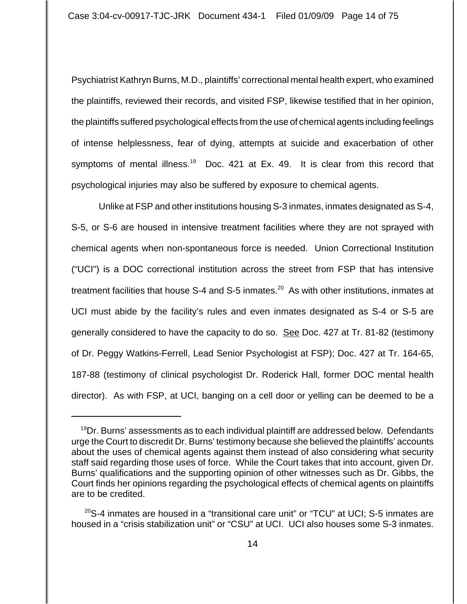Psychiatrist Kathryn Burns, M.D., plaintiffs' correctional mental health expert, who examined the plaintiffs, reviewed their records, and visited FSP, likewise testified that in her opinion, the plaintiffs suffered psychological effects from the use of chemical agents including feelings of intense helplessness, fear of dying, attempts at suicide and exacerbation of other symptoms of mental illness.<sup>19</sup> Doc. 421 at Ex. 49. It is clear from this record that psychological injuries may also be suffered by exposure to chemical agents.

Unlike at FSP and other institutions housing S-3 inmates, inmates designated as S-4, S-5, or S-6 are housed in intensive treatment facilities where they are not sprayed with chemical agents when non-spontaneous force is needed. Union Correctional Institution ("UCI") is a DOC correctional institution across the street from FSP that has intensive treatment facilities that house S-4 and S-5 inmates.<sup>20</sup> As with other institutions, inmates at UCI must abide by the facility's rules and even inmates designated as S-4 or S-5 are generally considered to have the capacity to do so. See Doc. 427 at Tr. 81-82 (testimony of Dr. Peggy Watkins-Ferrell, Lead Senior Psychologist at FSP); Doc. 427 at Tr. 164-65, 187-88 (testimony of clinical psychologist Dr. Roderick Hall, former DOC mental health director). As with FSP, at UCI, banging on a cell door or yelling can be deemed to be a

<sup>&</sup>lt;sup>19</sup>Dr. Burns' assessments as to each individual plaintiff are addressed below. Defendants urge the Court to discredit Dr. Burns' testimony because she believed the plaintiffs' accounts about the uses of chemical agents against them instead of also considering what security staff said regarding those uses of force. While the Court takes that into account, given Dr. Burns' qualifications and the supporting opinion of other witnesses such as Dr. Gibbs, the Court finds her opinions regarding the psychological effects of chemical agents on plaintiffs are to be credited.

 $20$ S-4 inmates are housed in a "transitional care unit" or "TCU" at UCI; S-5 inmates are housed in a "crisis stabilization unit" or "CSU" at UCI. UCI also houses some S-3 inmates.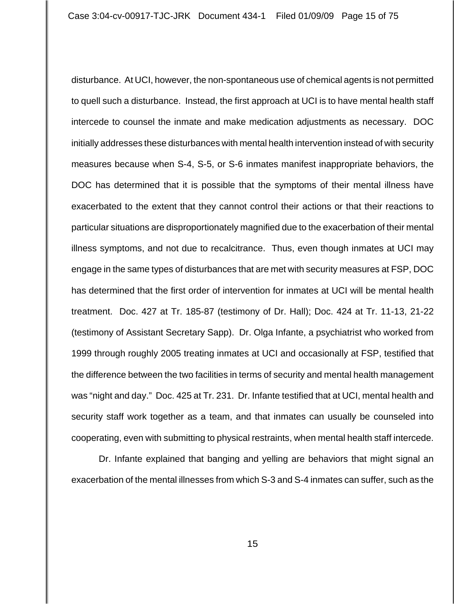disturbance. At UCI, however, the non-spontaneous use of chemical agents is not permitted to quell such a disturbance. Instead, the first approach at UCI is to have mental health staff intercede to counsel the inmate and make medication adjustments as necessary. DOC initially addresses these disturbances with mental health intervention instead of with security measures because when S-4, S-5, or S-6 inmates manifest inappropriate behaviors, the DOC has determined that it is possible that the symptoms of their mental illness have exacerbated to the extent that they cannot control their actions or that their reactions to particular situations are disproportionately magnified due to the exacerbation of their mental illness symptoms, and not due to recalcitrance. Thus, even though inmates at UCI may engage in the same types of disturbances that are met with security measures at FSP, DOC has determined that the first order of intervention for inmates at UCI will be mental health treatment. Doc. 427 at Tr. 185-87 (testimony of Dr. Hall); Doc. 424 at Tr. 11-13, 21-22 (testimony of Assistant Secretary Sapp). Dr. Olga Infante, a psychiatrist who worked from 1999 through roughly 2005 treating inmates at UCI and occasionally at FSP, testified that the difference between the two facilities in terms of security and mental health management was "night and day." Doc. 425 at Tr. 231. Dr. Infante testified that at UCI, mental health and security staff work together as a team, and that inmates can usually be counseled into cooperating, even with submitting to physical restraints, when mental health staff intercede.

Dr. Infante explained that banging and yelling are behaviors that might signal an exacerbation of the mental illnesses from which S-3 and S-4 inmates can suffer, such as the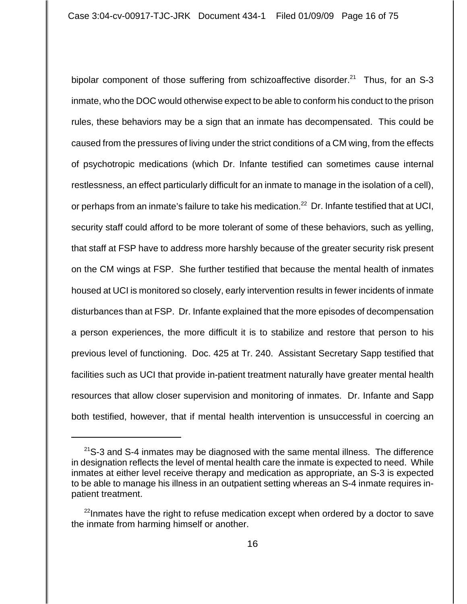bipolar component of those suffering from schizoaffective disorder.<sup>21</sup> Thus, for an S-3 inmate, who the DOC would otherwise expect to be able to conform his conduct to the prison rules, these behaviors may be a sign that an inmate has decompensated. This could be caused from the pressures of living under the strict conditions of a CM wing, from the effects of psychotropic medications (which Dr. Infante testified can sometimes cause internal restlessness, an effect particularly difficult for an inmate to manage in the isolation of a cell), or perhaps from an inmate's failure to take his medication.<sup>22</sup> Dr. Infante testified that at UCI, security staff could afford to be more tolerant of some of these behaviors, such as yelling, that staff at FSP have to address more harshly because of the greater security risk present on the CM wings at FSP. She further testified that because the mental health of inmates housed at UCI is monitored so closely, early intervention results in fewer incidents of inmate disturbances than at FSP. Dr. Infante explained that the more episodes of decompensation a person experiences, the more difficult it is to stabilize and restore that person to his previous level of functioning. Doc. 425 at Tr. 240. Assistant Secretary Sapp testified that facilities such as UCI that provide in-patient treatment naturally have greater mental health resources that allow closer supervision and monitoring of inmates. Dr. Infante and Sapp both testified, however, that if mental health intervention is unsuccessful in coercing an

 $21$ S-3 and S-4 inmates may be diagnosed with the same mental illness. The difference in designation reflects the level of mental health care the inmate is expected to need. While inmates at either level receive therapy and medication as appropriate, an S-3 is expected to be able to manage his illness in an outpatient setting whereas an S-4 inmate requires inpatient treatment.

 $22$ Inmates have the right to refuse medication except when ordered by a doctor to save the inmate from harming himself or another.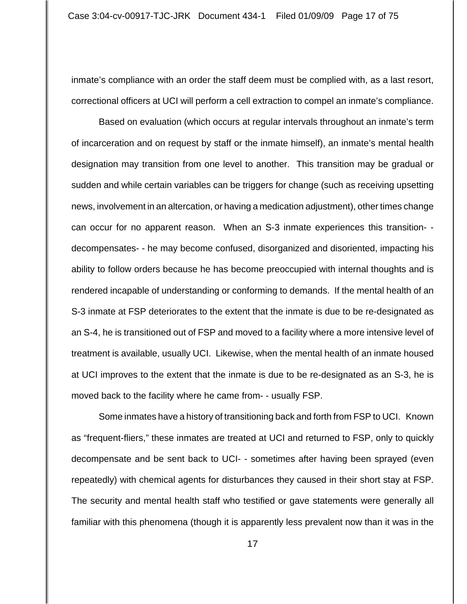inmate's compliance with an order the staff deem must be complied with, as a last resort, correctional officers at UCI will perform a cell extraction to compel an inmate's compliance.

Based on evaluation (which occurs at regular intervals throughout an inmate's term of incarceration and on request by staff or the inmate himself), an inmate's mental health designation may transition from one level to another. This transition may be gradual or sudden and while certain variables can be triggers for change (such as receiving upsetting news, involvement in an altercation, or having a medication adjustment), other times change can occur for no apparent reason. When an S-3 inmate experiences this transition- decompensates- - he may become confused, disorganized and disoriented, impacting his ability to follow orders because he has become preoccupied with internal thoughts and is rendered incapable of understanding or conforming to demands. If the mental health of an S-3 inmate at FSP deteriorates to the extent that the inmate is due to be re-designated as an S-4, he is transitioned out of FSP and moved to a facility where a more intensive level of treatment is available, usually UCI. Likewise, when the mental health of an inmate housed at UCI improves to the extent that the inmate is due to be re-designated as an S-3, he is moved back to the facility where he came from- - usually FSP.

Some inmates have a history of transitioning back and forth from FSP to UCI. Known as "frequent-fliers," these inmates are treated at UCI and returned to FSP, only to quickly decompensate and be sent back to UCI- - sometimes after having been sprayed (even repeatedly) with chemical agents for disturbances they caused in their short stay at FSP. The security and mental health staff who testified or gave statements were generally all familiar with this phenomena (though it is apparently less prevalent now than it was in the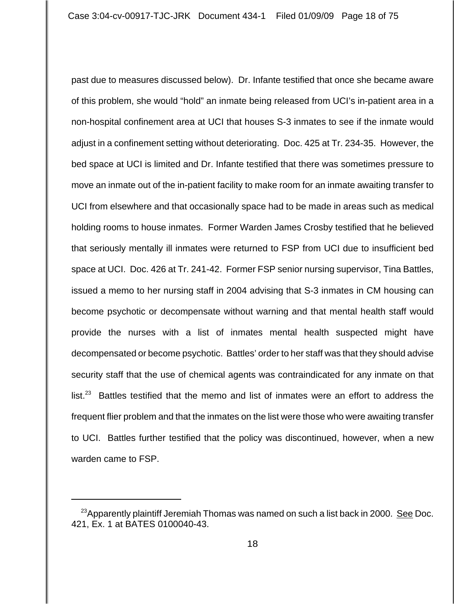past due to measures discussed below). Dr. Infante testified that once she became aware of this problem, she would "hold" an inmate being released from UCI's in-patient area in a non-hospital confinement area at UCI that houses S-3 inmates to see if the inmate would adjust in a confinement setting without deteriorating. Doc. 425 at Tr. 234-35. However, the bed space at UCI is limited and Dr. Infante testified that there was sometimes pressure to move an inmate out of the in-patient facility to make room for an inmate awaiting transfer to UCI from elsewhere and that occasionally space had to be made in areas such as medical holding rooms to house inmates. Former Warden James Crosby testified that he believed that seriously mentally ill inmates were returned to FSP from UCI due to insufficient bed space at UCI. Doc. 426 at Tr. 241-42. Former FSP senior nursing supervisor, Tina Battles, issued a memo to her nursing staff in 2004 advising that S-3 inmates in CM housing can become psychotic or decompensate without warning and that mental health staff would provide the nurses with a list of inmates mental health suspected might have decompensated or become psychotic. Battles' order to her staff was that they should advise security staff that the use of chemical agents was contraindicated for any inmate on that  $list.<sup>23</sup>$  Battles testified that the memo and list of inmates were an effort to address the frequent flier problem and that the inmates on the list were those who were awaiting transfer to UCI. Battles further testified that the policy was discontinued, however, when a new warden came to FSP.

<sup>&</sup>lt;sup>23</sup>Apparently plaintiff Jeremiah Thomas was named on such a list back in 2000. <u>See</u> Doc. 421, Ex. 1 at BATES 0100040-43.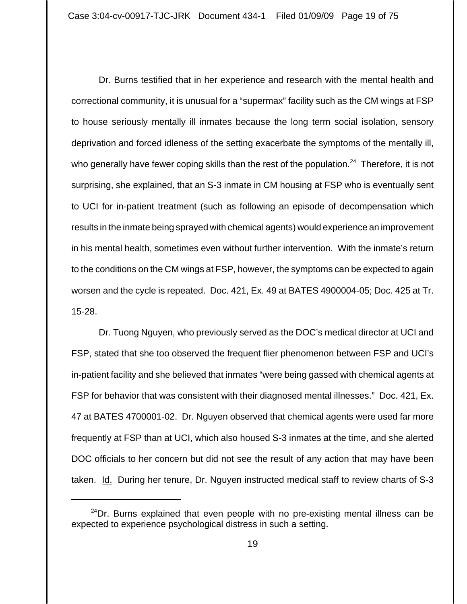Dr. Burns testified that in her experience and research with the mental health and correctional community, it is unusual for a "supermax" facility such as the CM wings at FSP to house seriously mentally ill inmates because the long term social isolation, sensory deprivation and forced idleness of the setting exacerbate the symptoms of the mentally ill, who generally have fewer coping skills than the rest of the population.<sup>24</sup> Therefore, it is not surprising, she explained, that an S-3 inmate in CM housing at FSP who is eventually sent to UCI for in-patient treatment (such as following an episode of decompensation which results in the inmate being sprayed with chemical agents) would experience an improvement in his mental health, sometimes even without further intervention. With the inmate's return to the conditions on the CM wings at FSP, however, the symptoms can be expected to again worsen and the cycle is repeated. Doc. 421, Ex. 49 at BATES 4900004-05; Doc. 425 at Tr. 15-28.

Dr. Tuong Nguyen, who previously served as the DOC's medical director at UCI and FSP, stated that she too observed the frequent flier phenomenon between FSP and UCI's in-patient facility and she believed that inmates "were being gassed with chemical agents at FSP for behavior that was consistent with their diagnosed mental illnesses." Doc. 421, Ex. 47 at BATES 4700001-02. Dr. Nguyen observed that chemical agents were used far more frequently at FSP than at UCI, which also housed S-3 inmates at the time, and she alerted DOC officials to her concern but did not see the result of any action that may have been taken. Id. During her tenure, Dr. Nguyen instructed medical staff to review charts of S-3

 $24$ Dr. Burns explained that even people with no pre-existing mental illness can be expected to experience psychological distress in such a setting.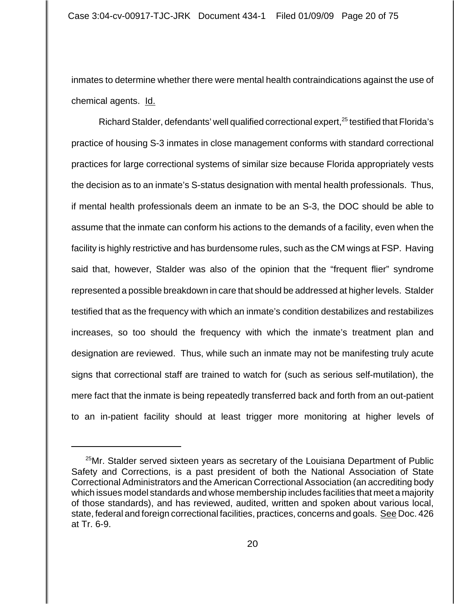inmates to determine whether there were mental health contraindications against the use of chemical agents. Id.

Richard Stalder, defendants' well qualified correctional expert, $^{25}$  testified that Florida's practice of housing S-3 inmates in close management conforms with standard correctional practices for large correctional systems of similar size because Florida appropriately vests the decision as to an inmate's S-status designation with mental health professionals. Thus, if mental health professionals deem an inmate to be an S-3, the DOC should be able to assume that the inmate can conform his actions to the demands of a facility, even when the facility is highly restrictive and has burdensome rules, such as the CM wings at FSP. Having said that, however, Stalder was also of the opinion that the "frequent flier" syndrome represented a possible breakdown in care that should be addressed at higher levels. Stalder testified that as the frequency with which an inmate's condition destabilizes and restabilizes increases, so too should the frequency with which the inmate's treatment plan and designation are reviewed. Thus, while such an inmate may not be manifesting truly acute signs that correctional staff are trained to watch for (such as serious self-mutilation), the mere fact that the inmate is being repeatedly transferred back and forth from an out-patient to an in-patient facility should at least trigger more monitoring at higher levels of

<sup>&</sup>lt;sup>25</sup>Mr. Stalder served sixteen years as secretary of the Louisiana Department of Public Safety and Corrections, is a past president of both the National Association of State Correctional Administrators and the American Correctional Association (an accrediting body which issues model standards and whose membership includes facilities that meet a majority of those standards), and has reviewed, audited, written and spoken about various local, state, federal and foreign correctional facilities, practices, concerns and goals. See Doc. 426 at Tr. 6-9.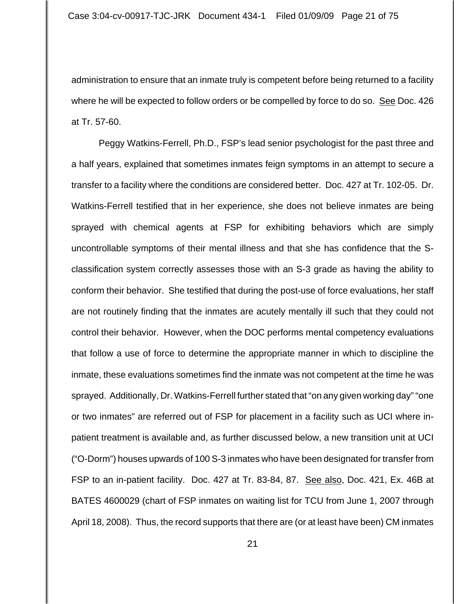administration to ensure that an inmate truly is competent before being returned to a facility where he will be expected to follow orders or be compelled by force to do so. See Doc. 426 at Tr. 57-60.

Peggy Watkins-Ferrell, Ph.D., FSP's lead senior psychologist for the past three and a half years, explained that sometimes inmates feign symptoms in an attempt to secure a transfer to a facility where the conditions are considered better. Doc. 427 at Tr. 102-05. Dr. Watkins-Ferrell testified that in her experience, she does not believe inmates are being sprayed with chemical agents at FSP for exhibiting behaviors which are simply uncontrollable symptoms of their mental illness and that she has confidence that the Sclassification system correctly assesses those with an S-3 grade as having the ability to conform their behavior. She testified that during the post-use of force evaluations, her staff are not routinely finding that the inmates are acutely mentally ill such that they could not control their behavior. However, when the DOC performs mental competency evaluations that follow a use of force to determine the appropriate manner in which to discipline the inmate, these evaluations sometimes find the inmate was not competent at the time he was sprayed. Additionally, Dr. Watkins-Ferrell further stated that "on any given working day" "one or two inmates" are referred out of FSP for placement in a facility such as UCI where inpatient treatment is available and, as further discussed below, a new transition unit at UCI ("O-Dorm") houses upwards of 100 S-3 inmates who have been designated for transfer from FSP to an in-patient facility. Doc. 427 at Tr. 83-84, 87. See also, Doc. 421, Ex. 46B at BATES 4600029 (chart of FSP inmates on waiting list for TCU from June 1, 2007 through April 18, 2008). Thus, the record supports that there are (or at least have been) CM inmates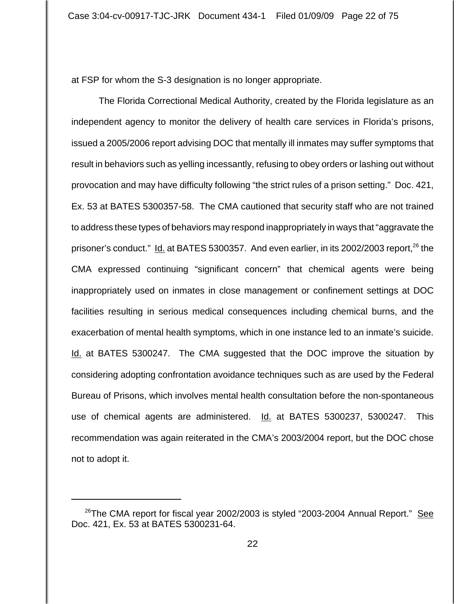at FSP for whom the S-3 designation is no longer appropriate.

The Florida Correctional Medical Authority, created by the Florida legislature as an independent agency to monitor the delivery of health care services in Florida's prisons, issued a 2005/2006 report advising DOC that mentally ill inmates may suffer symptoms that result in behaviors such as yelling incessantly, refusing to obey orders or lashing out without provocation and may have difficulty following "the strict rules of a prison setting." Doc. 421, Ex. 53 at BATES 5300357-58. The CMA cautioned that security staff who are not trained to address these types of behaviors may respond inappropriately in ways that "aggravate the prisoner's conduct." Id. at BATES 5300357. And even earlier, in its 2002/2003 report,<sup>26</sup> the CMA expressed continuing "significant concern" that chemical agents were being inappropriately used on inmates in close management or confinement settings at DOC facilities resulting in serious medical consequences including chemical burns, and the exacerbation of mental health symptoms, which in one instance led to an inmate's suicide. Id. at BATES 5300247. The CMA suggested that the DOC improve the situation by considering adopting confrontation avoidance techniques such as are used by the Federal Bureau of Prisons, which involves mental health consultation before the non-spontaneous use of chemical agents are administered. Id. at BATES 5300237, 5300247. This recommendation was again reiterated in the CMA's 2003/2004 report, but the DOC chose not to adopt it.

<sup>&</sup>lt;sup>26</sup>The CMA report for fiscal year 2002/2003 is styled "2003-2004 Annual Report." See Doc. 421, Ex. 53 at BATES 5300231-64.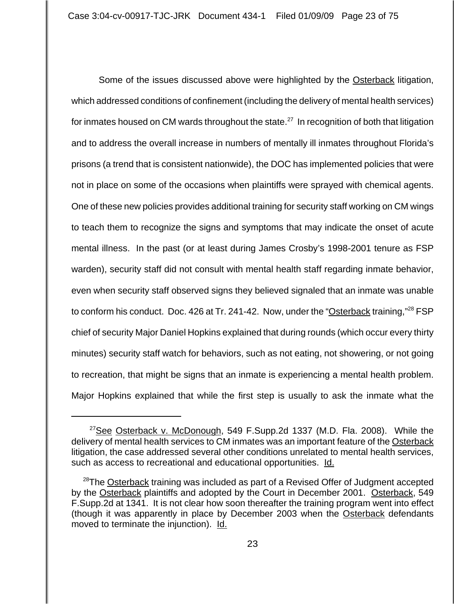Some of the issues discussed above were highlighted by the Osterback litigation, which addressed conditions of confinement (including the delivery of mental health services) for inmates housed on CM wards throughout the state.<sup>27</sup> In recognition of both that litigation and to address the overall increase in numbers of mentally ill inmates throughout Florida's prisons (a trend that is consistent nationwide), the DOC has implemented policies that were not in place on some of the occasions when plaintiffs were sprayed with chemical agents. One of these new policies provides additional training for security staff working on CM wings to teach them to recognize the signs and symptoms that may indicate the onset of acute mental illness. In the past (or at least during James Crosby's 1998-2001 tenure as FSP warden), security staff did not consult with mental health staff regarding inmate behavior, even when security staff observed signs they believed signaled that an inmate was unable to conform his conduct. Doc. 426 at Tr. 241-42. Now, under the "Osterback training,"<sup>28</sup> FSP chief of security Major Daniel Hopkins explained that during rounds (which occur every thirty minutes) security staff watch for behaviors, such as not eating, not showering, or not going to recreation, that might be signs that an inmate is experiencing a mental health problem. Major Hopkins explained that while the first step is usually to ask the inmate what the

 $27$ See Osterback v. McDonough, 549 F.Supp.2d 1337 (M.D. Fla. 2008). While the delivery of mental health services to CM inmates was an important feature of the Osterback litigation, the case addressed several other conditions unrelated to mental health services, such as access to recreational and educational opportunities. Id.

<sup>&</sup>lt;sup>28</sup>The Osterback training was included as part of a Revised Offer of Judgment accepted by the Osterback plaintiffs and adopted by the Court in December 2001. Osterback, 549 F.Supp.2d at 1341. It is not clear how soon thereafter the training program went into effect (though it was apparently in place by December 2003 when the Osterback defendants moved to terminate the injunction). Id.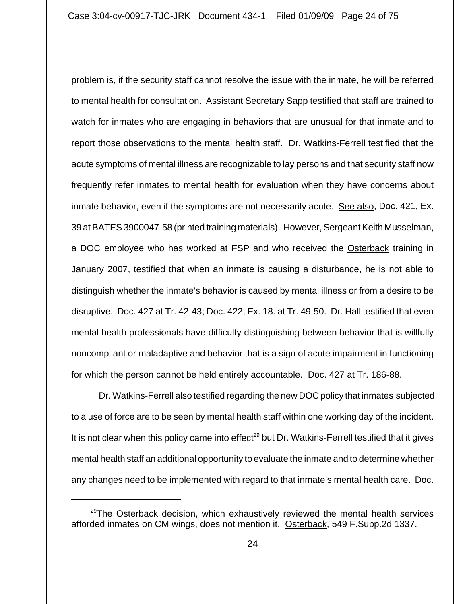problem is, if the security staff cannot resolve the issue with the inmate, he will be referred to mental health for consultation. Assistant Secretary Sapp testified that staff are trained to watch for inmates who are engaging in behaviors that are unusual for that inmate and to report those observations to the mental health staff. Dr. Watkins-Ferrell testified that the acute symptoms of mental illness are recognizable to lay persons and that security staff now frequently refer inmates to mental health for evaluation when they have concerns about inmate behavior, even if the symptoms are not necessarily acute. See also, Doc. 421, Ex. 39 at BATES 3900047-58 (printed training materials). However, Sergeant Keith Musselman, a DOC employee who has worked at FSP and who received the Osterback training in January 2007, testified that when an inmate is causing a disturbance, he is not able to distinguish whether the inmate's behavior is caused by mental illness or from a desire to be disruptive. Doc. 427 at Tr. 42-43; Doc. 422, Ex. 18. at Tr. 49-50. Dr. Hall testified that even mental health professionals have difficulty distinguishing between behavior that is willfully noncompliant or maladaptive and behavior that is a sign of acute impairment in functioning for which the person cannot be held entirely accountable. Doc. 427 at Tr. 186-88.

 Dr. Watkins-Ferrell also testified regarding the new DOC policy that inmates subjected to a use of force are to be seen by mental health staff within one working day of the incident. It is not clear when this policy came into effect<sup>29</sup> but Dr. Watkins-Ferrell testified that it gives mental health staff an additional opportunity to evaluate the inmate and to determine whether any changes need to be implemented with regard to that inmate's mental health care. Doc.

<sup>&</sup>lt;sup>29</sup>The Osterback decision, which exhaustively reviewed the mental health services afforded inmates on CM wings, does not mention it. Osterback, 549 F.Supp.2d 1337.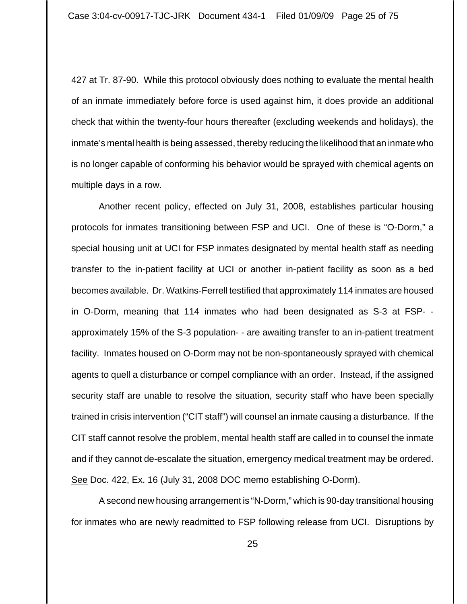427 at Tr. 87-90. While this protocol obviously does nothing to evaluate the mental health of an inmate immediately before force is used against him, it does provide an additional check that within the twenty-four hours thereafter (excluding weekends and holidays), the inmate's mental health is being assessed, thereby reducing the likelihood that an inmate who is no longer capable of conforming his behavior would be sprayed with chemical agents on multiple days in a row.

Another recent policy, effected on July 31, 2008, establishes particular housing protocols for inmates transitioning between FSP and UCI. One of these is "O-Dorm," a special housing unit at UCI for FSP inmates designated by mental health staff as needing transfer to the in-patient facility at UCI or another in-patient facility as soon as a bed becomes available. Dr. Watkins-Ferrell testified that approximately 114 inmates are housed in O-Dorm, meaning that 114 inmates who had been designated as S-3 at FSP- approximately 15% of the S-3 population- - are awaiting transfer to an in-patient treatment facility. Inmates housed on O-Dorm may not be non-spontaneously sprayed with chemical agents to quell a disturbance or compel compliance with an order. Instead, if the assigned security staff are unable to resolve the situation, security staff who have been specially trained in crisis intervention ("CIT staff") will counsel an inmate causing a disturbance. If the CIT staff cannot resolve the problem, mental health staff are called in to counsel the inmate and if they cannot de-escalate the situation, emergency medical treatment may be ordered. See Doc. 422, Ex. 16 (July 31, 2008 DOC memo establishing O-Dorm).

A second new housing arrangement is "N-Dorm," which is 90-day transitional housing for inmates who are newly readmitted to FSP following release from UCI. Disruptions by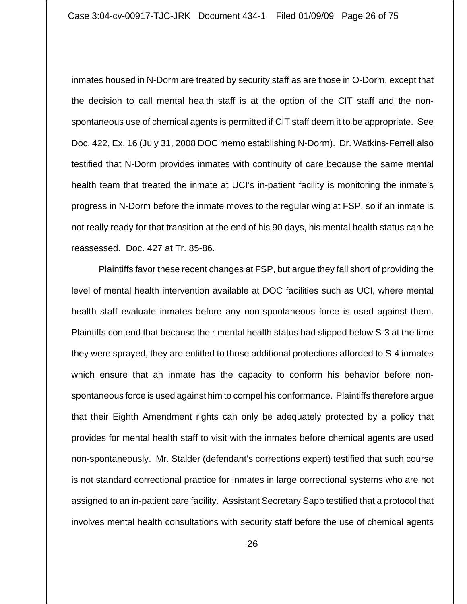inmates housed in N-Dorm are treated by security staff as are those in O-Dorm, except that the decision to call mental health staff is at the option of the CIT staff and the nonspontaneous use of chemical agents is permitted if CIT staff deem it to be appropriate. See Doc. 422, Ex. 16 (July 31, 2008 DOC memo establishing N-Dorm). Dr. Watkins-Ferrell also testified that N-Dorm provides inmates with continuity of care because the same mental health team that treated the inmate at UCI's in-patient facility is monitoring the inmate's progress in N-Dorm before the inmate moves to the regular wing at FSP, so if an inmate is not really ready for that transition at the end of his 90 days, his mental health status can be reassessed. Doc. 427 at Tr. 85-86.

Plaintiffs favor these recent changes at FSP, but argue they fall short of providing the level of mental health intervention available at DOC facilities such as UCI, where mental health staff evaluate inmates before any non-spontaneous force is used against them. Plaintiffs contend that because their mental health status had slipped below S-3 at the time they were sprayed, they are entitled to those additional protections afforded to S-4 inmates which ensure that an inmate has the capacity to conform his behavior before nonspontaneous force is used against him to compel his conformance. Plaintiffs therefore argue that their Eighth Amendment rights can only be adequately protected by a policy that provides for mental health staff to visit with the inmates before chemical agents are used non-spontaneously. Mr. Stalder (defendant's corrections expert) testified that such course is not standard correctional practice for inmates in large correctional systems who are not assigned to an in-patient care facility. Assistant Secretary Sapp testified that a protocol that involves mental health consultations with security staff before the use of chemical agents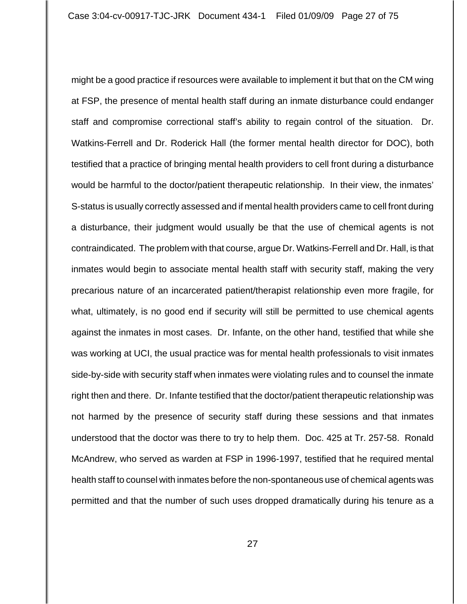might be a good practice if resources were available to implement it but that on the CM wing at FSP, the presence of mental health staff during an inmate disturbance could endanger staff and compromise correctional staff's ability to regain control of the situation. Dr. Watkins-Ferrell and Dr. Roderick Hall (the former mental health director for DOC), both testified that a practice of bringing mental health providers to cell front during a disturbance would be harmful to the doctor/patient therapeutic relationship. In their view, the inmates' S-status is usually correctly assessed and if mental health providers came to cell front during a disturbance, their judgment would usually be that the use of chemical agents is not contraindicated. The problem with that course, argue Dr. Watkins-Ferrell and Dr. Hall, is that inmates would begin to associate mental health staff with security staff, making the very precarious nature of an incarcerated patient/therapist relationship even more fragile, for what, ultimately, is no good end if security will still be permitted to use chemical agents against the inmates in most cases. Dr. Infante, on the other hand, testified that while she was working at UCI, the usual practice was for mental health professionals to visit inmates side-by-side with security staff when inmates were violating rules and to counsel the inmate right then and there. Dr. Infante testified that the doctor/patient therapeutic relationship was not harmed by the presence of security staff during these sessions and that inmates understood that the doctor was there to try to help them. Doc. 425 at Tr. 257-58. Ronald McAndrew, who served as warden at FSP in 1996-1997, testified that he required mental health staff to counsel with inmates before the non-spontaneous use of chemical agents was permitted and that the number of such uses dropped dramatically during his tenure as a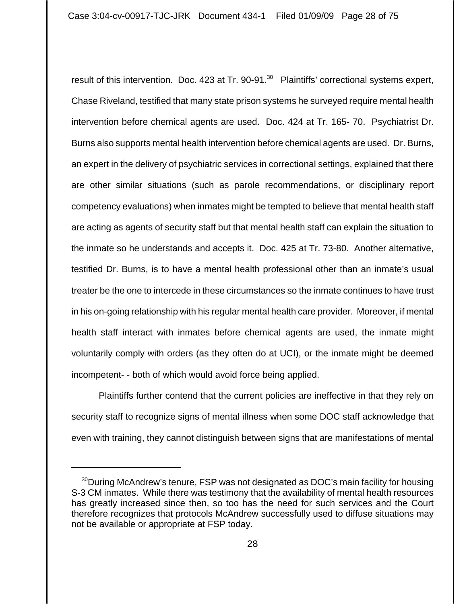result of this intervention. Doc. 423 at Tr. 90-91. $^{30}$  Plaintiffs' correctional systems expert, Chase Riveland, testified that many state prison systems he surveyed require mental health intervention before chemical agents are used. Doc. 424 at Tr. 165- 70. Psychiatrist Dr. Burns also supports mental health intervention before chemical agents are used. Dr. Burns, an expert in the delivery of psychiatric services in correctional settings, explained that there are other similar situations (such as parole recommendations, or disciplinary report competency evaluations) when inmates might be tempted to believe that mental health staff are acting as agents of security staff but that mental health staff can explain the situation to the inmate so he understands and accepts it. Doc. 425 at Tr. 73-80. Another alternative, testified Dr. Burns, is to have a mental health professional other than an inmate's usual treater be the one to intercede in these circumstances so the inmate continues to have trust in his on-going relationship with his regular mental health care provider. Moreover, if mental health staff interact with inmates before chemical agents are used, the inmate might voluntarily comply with orders (as they often do at UCI), or the inmate might be deemed incompetent- - both of which would avoid force being applied.

Plaintiffs further contend that the current policies are ineffective in that they rely on security staff to recognize signs of mental illness when some DOC staff acknowledge that even with training, they cannot distinguish between signs that are manifestations of mental

<sup>&</sup>lt;sup>30</sup>During McAndrew's tenure, FSP was not designated as DOC's main facility for housing S-3 CM inmates. While there was testimony that the availability of mental health resources has greatly increased since then, so too has the need for such services and the Court therefore recognizes that protocols McAndrew successfully used to diffuse situations may not be available or appropriate at FSP today.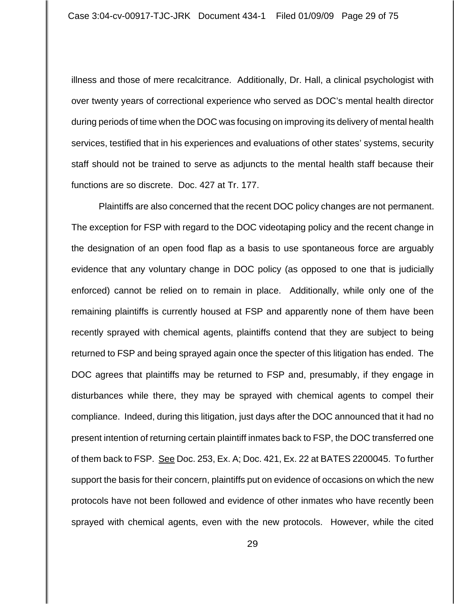illness and those of mere recalcitrance. Additionally, Dr. Hall, a clinical psychologist with over twenty years of correctional experience who served as DOC's mental health director during periods of time when the DOC was focusing on improving its delivery of mental health services, testified that in his experiences and evaluations of other states' systems, security staff should not be trained to serve as adjuncts to the mental health staff because their functions are so discrete. Doc. 427 at Tr. 177.

 Plaintiffs are also concerned that the recent DOC policy changes are not permanent. The exception for FSP with regard to the DOC videotaping policy and the recent change in the designation of an open food flap as a basis to use spontaneous force are arguably evidence that any voluntary change in DOC policy (as opposed to one that is judicially enforced) cannot be relied on to remain in place. Additionally, while only one of the remaining plaintiffs is currently housed at FSP and apparently none of them have been recently sprayed with chemical agents, plaintiffs contend that they are subject to being returned to FSP and being sprayed again once the specter of this litigation has ended. The DOC agrees that plaintiffs may be returned to FSP and, presumably, if they engage in disturbances while there, they may be sprayed with chemical agents to compel their compliance. Indeed, during this litigation, just days after the DOC announced that it had no present intention of returning certain plaintiff inmates back to FSP, the DOC transferred one of them back to FSP. See Doc. 253, Ex. A; Doc. 421, Ex. 22 at BATES 2200045. To further support the basis for their concern, plaintiffs put on evidence of occasions on which the new protocols have not been followed and evidence of other inmates who have recently been sprayed with chemical agents, even with the new protocols. However, while the cited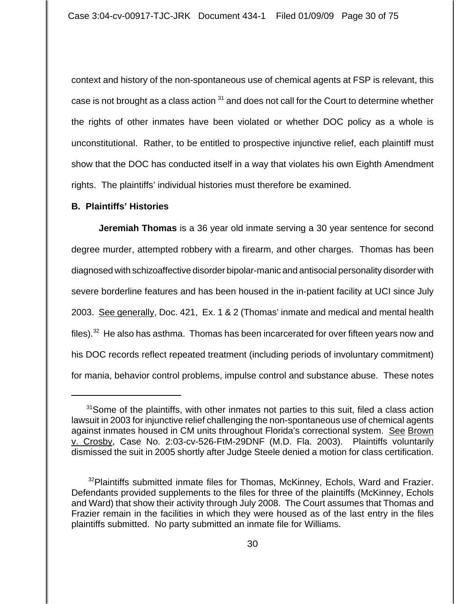context and history of the non-spontaneous use of chemical agents at FSP is relevant, this case is not brought as a class action  $31$  and does not call for the Court to determine whether the rights of other inmates have been violated or whether DOC policy as a whole is unconstitutional. Rather, to be entitled to prospective injunctive relief, each plaintiff must show that the DOC has conducted itself in a way that violates his own Eighth Amendment rights. The plaintiffs' individual histories must therefore be examined.

# **B. Plaintiffs' Histories**

**Jeremiah Thomas** is a 36 year old inmate serving a 30 year sentence for second degree murder, attempted robbery with a firearm, and other charges. Thomas has been diagnosed with schizoaffective disorder bipolar-manic and antisocial personality disorder with severe borderline features and has been housed in the in-patient facility at UCI since July 2003. See generally, Doc. 421, Ex. 1 & 2 (Thomas' inmate and medical and mental health files). $32$  He also has asthma. Thomas has been incarcerated for over fifteen years now and his DOC records reflect repeated treatment (including periods of involuntary commitment) for mania, behavior control problems, impulse control and substance abuse. These notes

 $31$ Some of the plaintiffs, with other inmates not parties to this suit, filed a class action lawsuit in 2003 for injunctive relief challenging the non-spontaneous use of chemical agents against inmates housed in CM units throughout Florida's correctional system. See Brown v. Crosby, Case No. 2:03-cv-526-FtM-29DNF (M.D. Fla. 2003). Plaintiffs voluntarily dismissed the suit in 2005 shortly after Judge Steele denied a motion for class certification.

<sup>&</sup>lt;sup>32</sup>Plaintiffs submitted inmate files for Thomas, McKinney, Echols, Ward and Frazier. Defendants provided supplements to the files for three of the plaintiffs (McKinney, Echols and Ward) that show their activity through July 2008. The Court assumes that Thomas and Frazier remain in the facilities in which they were housed as of the last entry in the files plaintiffs submitted. No party submitted an inmate file for Williams.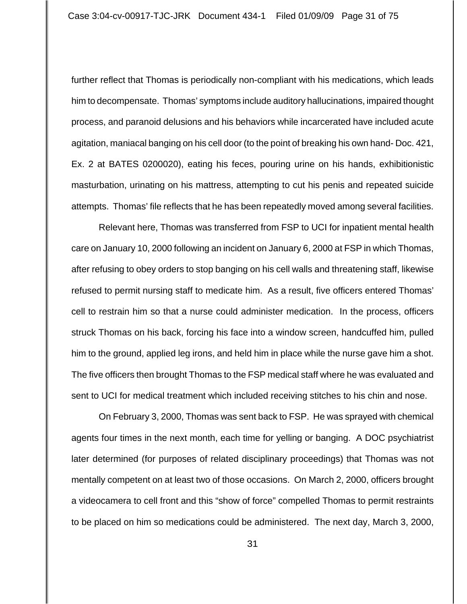further reflect that Thomas is periodically non-compliant with his medications, which leads him to decompensate. Thomas' symptoms include auditory hallucinations, impaired thought process, and paranoid delusions and his behaviors while incarcerated have included acute agitation, maniacal banging on his cell door (to the point of breaking his own hand- Doc. 421, Ex. 2 at BATES 0200020), eating his feces, pouring urine on his hands, exhibitionistic masturbation, urinating on his mattress, attempting to cut his penis and repeated suicide attempts. Thomas' file reflects that he has been repeatedly moved among several facilities.

Relevant here, Thomas was transferred from FSP to UCI for inpatient mental health care on January 10, 2000 following an incident on January 6, 2000 at FSP in which Thomas, after refusing to obey orders to stop banging on his cell walls and threatening staff, likewise refused to permit nursing staff to medicate him. As a result, five officers entered Thomas' cell to restrain him so that a nurse could administer medication. In the process, officers struck Thomas on his back, forcing his face into a window screen, handcuffed him, pulled him to the ground, applied leg irons, and held him in place while the nurse gave him a shot. The five officers then brought Thomas to the FSP medical staff where he was evaluated and sent to UCI for medical treatment which included receiving stitches to his chin and nose.

On February 3, 2000, Thomas was sent back to FSP. He was sprayed with chemical agents four times in the next month, each time for yelling or banging. A DOC psychiatrist later determined (for purposes of related disciplinary proceedings) that Thomas was not mentally competent on at least two of those occasions. On March 2, 2000, officers brought a videocamera to cell front and this "show of force" compelled Thomas to permit restraints to be placed on him so medications could be administered. The next day, March 3, 2000,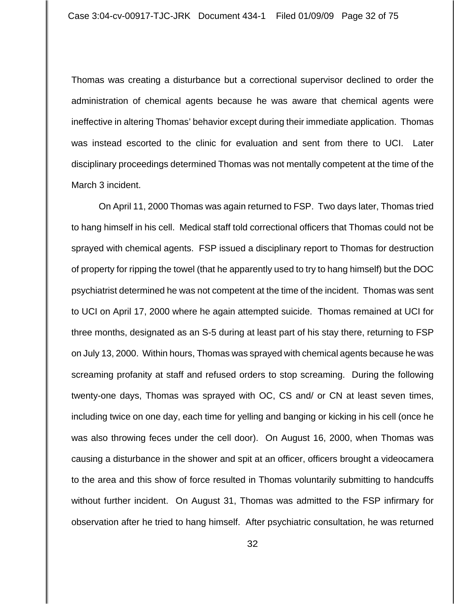Thomas was creating a disturbance but a correctional supervisor declined to order the administration of chemical agents because he was aware that chemical agents were ineffective in altering Thomas' behavior except during their immediate application. Thomas was instead escorted to the clinic for evaluation and sent from there to UCI. Later disciplinary proceedings determined Thomas was not mentally competent at the time of the March 3 incident.

On April 11, 2000 Thomas was again returned to FSP. Two days later, Thomas tried to hang himself in his cell. Medical staff told correctional officers that Thomas could not be sprayed with chemical agents. FSP issued a disciplinary report to Thomas for destruction of property for ripping the towel (that he apparently used to try to hang himself) but the DOC psychiatrist determined he was not competent at the time of the incident. Thomas was sent to UCI on April 17, 2000 where he again attempted suicide. Thomas remained at UCI for three months, designated as an S-5 during at least part of his stay there, returning to FSP on July 13, 2000. Within hours, Thomas was sprayed with chemical agents because he was screaming profanity at staff and refused orders to stop screaming. During the following twenty-one days, Thomas was sprayed with OC, CS and/ or CN at least seven times, including twice on one day, each time for yelling and banging or kicking in his cell (once he was also throwing feces under the cell door). On August 16, 2000, when Thomas was causing a disturbance in the shower and spit at an officer, officers brought a videocamera to the area and this show of force resulted in Thomas voluntarily submitting to handcuffs without further incident. On August 31, Thomas was admitted to the FSP infirmary for observation after he tried to hang himself. After psychiatric consultation, he was returned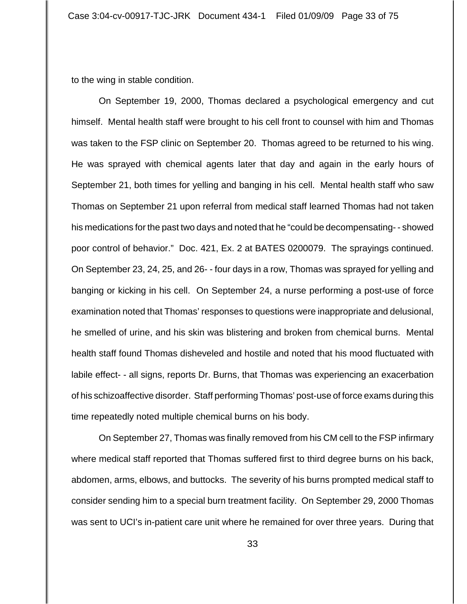to the wing in stable condition.

On September 19, 2000, Thomas declared a psychological emergency and cut himself. Mental health staff were brought to his cell front to counsel with him and Thomas was taken to the FSP clinic on September 20. Thomas agreed to be returned to his wing. He was sprayed with chemical agents later that day and again in the early hours of September 21, both times for yelling and banging in his cell. Mental health staff who saw Thomas on September 21 upon referral from medical staff learned Thomas had not taken his medications for the past two days and noted that he "could be decompensating- - showed poor control of behavior." Doc. 421, Ex. 2 at BATES 0200079. The sprayings continued. On September 23, 24, 25, and 26- - four days in a row, Thomas was sprayed for yelling and banging or kicking in his cell. On September 24, a nurse performing a post-use of force examination noted that Thomas' responses to questions were inappropriate and delusional, he smelled of urine, and his skin was blistering and broken from chemical burns. Mental health staff found Thomas disheveled and hostile and noted that his mood fluctuated with labile effect- - all signs, reports Dr. Burns, that Thomas was experiencing an exacerbation of his schizoaffective disorder. Staff performing Thomas' post-use of force exams during this time repeatedly noted multiple chemical burns on his body.

On September 27, Thomas was finally removed from his CM cell to the FSP infirmary where medical staff reported that Thomas suffered first to third degree burns on his back, abdomen, arms, elbows, and buttocks. The severity of his burns prompted medical staff to consider sending him to a special burn treatment facility. On September 29, 2000 Thomas was sent to UCI's in-patient care unit where he remained for over three years. During that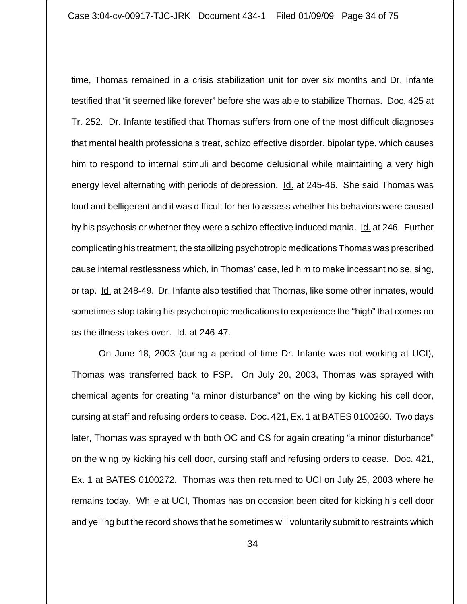time, Thomas remained in a crisis stabilization unit for over six months and Dr. Infante testified that "it seemed like forever" before she was able to stabilize Thomas. Doc. 425 at Tr. 252. Dr. Infante testified that Thomas suffers from one of the most difficult diagnoses that mental health professionals treat, schizo effective disorder, bipolar type, which causes him to respond to internal stimuli and become delusional while maintaining a very high energy level alternating with periods of depression. **Id.** at 245-46. She said Thomas was loud and belligerent and it was difficult for her to assess whether his behaviors were caused by his psychosis or whether they were a schizo effective induced mania. Id. at 246. Further complicating his treatment, the stabilizing psychotropic medications Thomas was prescribed cause internal restlessness which, in Thomas' case, led him to make incessant noise, sing, or tap. Id. at 248-49. Dr. Infante also testified that Thomas, like some other inmates, would sometimes stop taking his psychotropic medications to experience the "high" that comes on as the illness takes over. Id. at 246-47.

On June 18, 2003 (during a period of time Dr. Infante was not working at UCI), Thomas was transferred back to FSP. On July 20, 2003, Thomas was sprayed with chemical agents for creating "a minor disturbance" on the wing by kicking his cell door, cursing at staff and refusing orders to cease. Doc. 421, Ex. 1 at BATES 0100260. Two days later, Thomas was sprayed with both OC and CS for again creating "a minor disturbance" on the wing by kicking his cell door, cursing staff and refusing orders to cease. Doc. 421, Ex. 1 at BATES 0100272. Thomas was then returned to UCI on July 25, 2003 where he remains today. While at UCI, Thomas has on occasion been cited for kicking his cell door and yelling but the record shows that he sometimes will voluntarily submit to restraints which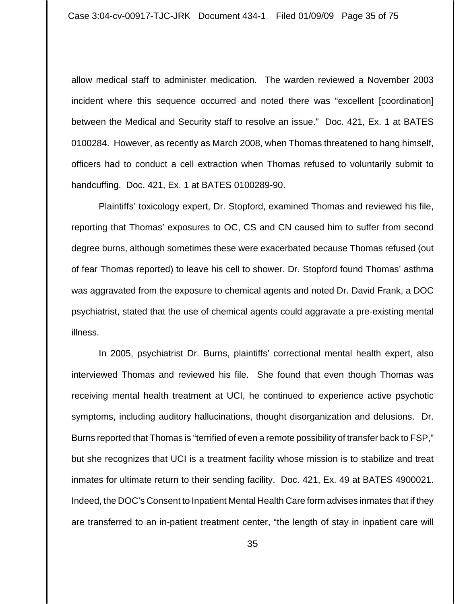allow medical staff to administer medication. The warden reviewed a November 2003 incident where this sequence occurred and noted there was "excellent [coordination] between the Medical and Security staff to resolve an issue." Doc. 421, Ex. 1 at BATES 0100284. However, as recently as March 2008, when Thomas threatened to hang himself, officers had to conduct a cell extraction when Thomas refused to voluntarily submit to handcuffing. Doc. 421, Ex. 1 at BATES 0100289-90.

 Plaintiffs' toxicology expert, Dr. Stopford, examined Thomas and reviewed his file, reporting that Thomas' exposures to OC, CS and CN caused him to suffer from second degree burns, although sometimes these were exacerbated because Thomas refused (out of fear Thomas reported) to leave his cell to shower. Dr. Stopford found Thomas' asthma was aggravated from the exposure to chemical agents and noted Dr. David Frank, a DOC psychiatrist, stated that the use of chemical agents could aggravate a pre-existing mental illness.

In 2005, psychiatrist Dr. Burns, plaintiffs' correctional mental health expert, also interviewed Thomas and reviewed his file. She found that even though Thomas was receiving mental health treatment at UCI, he continued to experience active psychotic symptoms, including auditory hallucinations, thought disorganization and delusions. Dr. Burns reported that Thomas is "terrified of even a remote possibility of transfer back to FSP," but she recognizes that UCI is a treatment facility whose mission is to stabilize and treat inmates for ultimate return to their sending facility. Doc. 421, Ex. 49 at BATES 4900021. Indeed, the DOC's Consent to Inpatient Mental Health Care form advises inmates that if they are transferred to an in-patient treatment center, "the length of stay in inpatient care will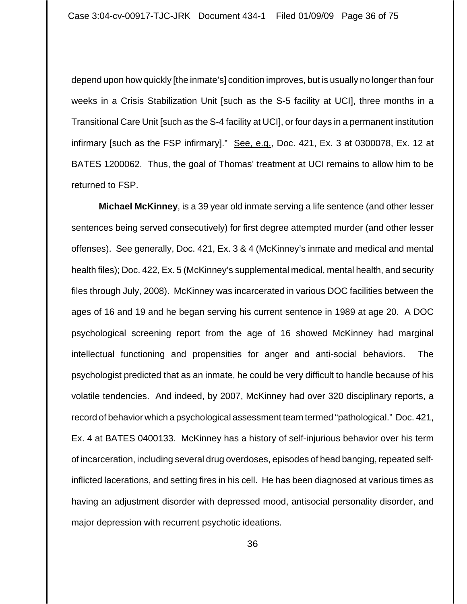depend upon how quickly [the inmate's] condition improves, but is usually no longer than four weeks in a Crisis Stabilization Unit [such as the S-5 facility at UCI], three months in a Transitional Care Unit [such as the S-4 facility at UCI], or four days in a permanent institution infirmary [such as the FSP infirmary]." See, e.g., Doc. 421, Ex. 3 at 0300078, Ex. 12 at BATES 1200062. Thus, the goal of Thomas' treatment at UCI remains to allow him to be returned to FSP.

**Michael McKinney**, is a 39 year old inmate serving a life sentence (and other lesser sentences being served consecutively) for first degree attempted murder (and other lesser offenses). See generally, Doc. 421, Ex. 3 & 4 (McKinney's inmate and medical and mental health files); Doc. 422, Ex. 5 (McKinney's supplemental medical, mental health, and security files through July, 2008). McKinney was incarcerated in various DOC facilities between the ages of 16 and 19 and he began serving his current sentence in 1989 at age 20. A DOC psychological screening report from the age of 16 showed McKinney had marginal intellectual functioning and propensities for anger and anti-social behaviors. The psychologist predicted that as an inmate, he could be very difficult to handle because of his volatile tendencies. And indeed, by 2007, McKinney had over 320 disciplinary reports, a record of behavior which a psychological assessment team termed "pathological." Doc. 421, Ex. 4 at BATES 0400133. McKinney has a history of self-injurious behavior over his term of incarceration, including several drug overdoses, episodes of head banging, repeated selfinflicted lacerations, and setting fires in his cell. He has been diagnosed at various times as having an adjustment disorder with depressed mood, antisocial personality disorder, and major depression with recurrent psychotic ideations.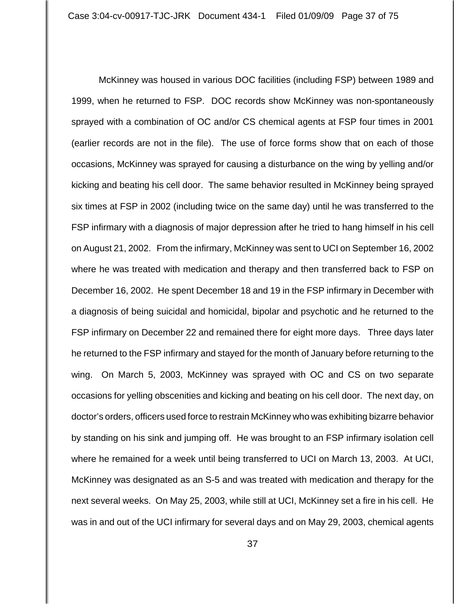McKinney was housed in various DOC facilities (including FSP) between 1989 and 1999, when he returned to FSP. DOC records show McKinney was non-spontaneously sprayed with a combination of OC and/or CS chemical agents at FSP four times in 2001 (earlier records are not in the file). The use of force forms show that on each of those occasions, McKinney was sprayed for causing a disturbance on the wing by yelling and/or kicking and beating his cell door. The same behavior resulted in McKinney being sprayed six times at FSP in 2002 (including twice on the same day) until he was transferred to the FSP infirmary with a diagnosis of major depression after he tried to hang himself in his cell on August 21, 2002. From the infirmary, McKinney was sent to UCI on September 16, 2002 where he was treated with medication and therapy and then transferred back to FSP on December 16, 2002. He spent December 18 and 19 in the FSP infirmary in December with a diagnosis of being suicidal and homicidal, bipolar and psychotic and he returned to the FSP infirmary on December 22 and remained there for eight more days. Three days later he returned to the FSP infirmary and stayed for the month of January before returning to the wing. On March 5, 2003, McKinney was sprayed with OC and CS on two separate occasions for yelling obscenities and kicking and beating on his cell door. The next day, on doctor's orders, officers used force to restrain McKinney who was exhibiting bizarre behavior by standing on his sink and jumping off. He was brought to an FSP infirmary isolation cell where he remained for a week until being transferred to UCI on March 13, 2003. At UCI, McKinney was designated as an S-5 and was treated with medication and therapy for the next several weeks. On May 25, 2003, while still at UCI, McKinney set a fire in his cell. He was in and out of the UCI infirmary for several days and on May 29, 2003, chemical agents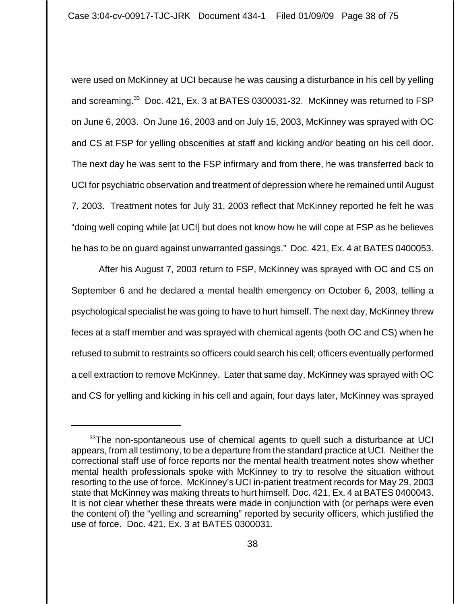were used on McKinney at UCI because he was causing a disturbance in his cell by yelling and screaming.<sup>33</sup> Doc. 421, Ex. 3 at BATES 0300031-32. McKinney was returned to FSP on June 6, 2003. On June 16, 2003 and on July 15, 2003, McKinney was sprayed with OC and CS at FSP for yelling obscenities at staff and kicking and/or beating on his cell door. The next day he was sent to the FSP infirmary and from there, he was transferred back to UCI for psychiatric observation and treatment of depression where he remained until August 7, 2003. Treatment notes for July 31, 2003 reflect that McKinney reported he felt he was "doing well coping while [at UCI] but does not know how he will cope at FSP as he believes he has to be on guard against unwarranted gassings." Doc. 421, Ex. 4 at BATES 0400053.

After his August 7, 2003 return to FSP, McKinney was sprayed with OC and CS on September 6 and he declared a mental health emergency on October 6, 2003, telling a psychological specialist he was going to have to hurt himself. The next day, McKinney threw feces at a staff member and was sprayed with chemical agents (both OC and CS) when he refused to submit to restraints so officers could search his cell; officers eventually performed a cell extraction to remove McKinney. Later that same day, McKinney was sprayed with OC and CS for yelling and kicking in his cell and again, four days later, McKinney was sprayed

 $33$ The non-spontaneous use of chemical agents to quell such a disturbance at UCI appears, from all testimony, to be a departure from the standard practice at UCI. Neither the correctional staff use of force reports nor the mental health treatment notes show whether mental health professionals spoke with McKinney to try to resolve the situation without resorting to the use of force. McKinney's UCI in-patient treatment records for May 29, 2003 state that McKinney was making threats to hurt himself. Doc. 421, Ex. 4 at BATES 0400043. It is not clear whether these threats were made in conjunction with (or perhaps were even the content of) the "yelling and screaming" reported by security officers, which justified the use of force. Doc. 421, Ex. 3 at BATES 0300031.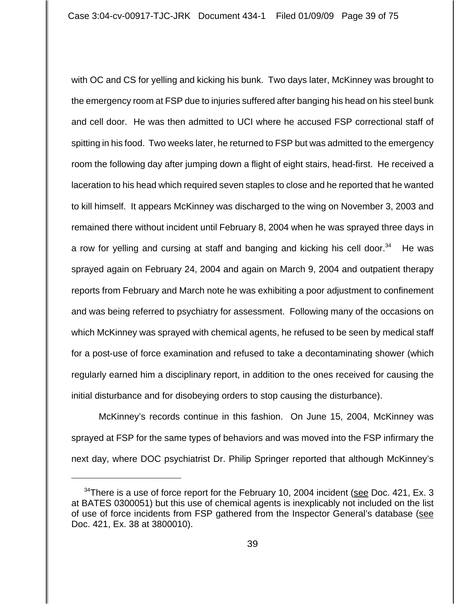with OC and CS for yelling and kicking his bunk. Two days later, McKinney was brought to the emergency room at FSP due to injuries suffered after banging his head on his steel bunk and cell door. He was then admitted to UCI where he accused FSP correctional staff of spitting in his food. Two weeks later, he returned to FSP but was admitted to the emergency room the following day after jumping down a flight of eight stairs, head-first. He received a laceration to his head which required seven staples to close and he reported that he wanted to kill himself. It appears McKinney was discharged to the wing on November 3, 2003 and remained there without incident until February 8, 2004 when he was sprayed three days in a row for yelling and cursing at staff and banging and kicking his cell door.<sup>34</sup> He was sprayed again on February 24, 2004 and again on March 9, 2004 and outpatient therapy reports from February and March note he was exhibiting a poor adjustment to confinement and was being referred to psychiatry for assessment. Following many of the occasions on which McKinney was sprayed with chemical agents, he refused to be seen by medical staff for a post-use of force examination and refused to take a decontaminating shower (which regularly earned him a disciplinary report, in addition to the ones received for causing the initial disturbance and for disobeying orders to stop causing the disturbance).

McKinney's records continue in this fashion. On June 15, 2004, McKinney was sprayed at FSP for the same types of behaviors and was moved into the FSP infirmary the next day, where DOC psychiatrist Dr. Philip Springer reported that although McKinney's

 $34$ There is a use of force report for the February 10, 2004 incident (see Doc. 421, Ex. 3) at BATES 0300051) but this use of chemical agents is inexplicably not included on the list of use of force incidents from FSP gathered from the Inspector General's database (see Doc. 421, Ex. 38 at 3800010).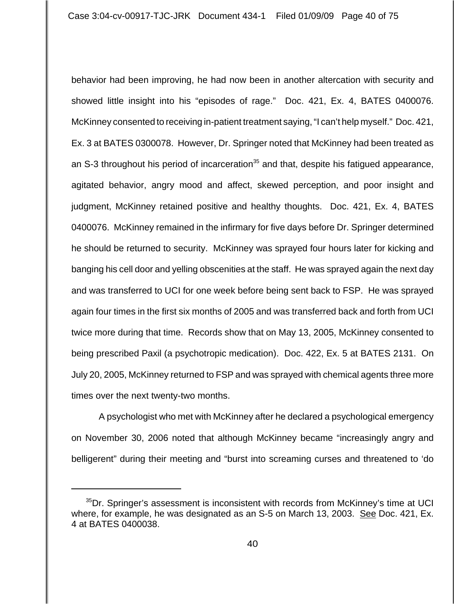behavior had been improving, he had now been in another altercation with security and showed little insight into his "episodes of rage." Doc. 421, Ex. 4, BATES 0400076. McKinney consented to receiving in-patient treatment saying, "I can't help myself." Doc. 421, Ex. 3 at BATES 0300078. However, Dr. Springer noted that McKinney had been treated as an S-3 throughout his period of incarceration<sup>35</sup> and that, despite his fatigued appearance, agitated behavior, angry mood and affect, skewed perception, and poor insight and judgment, McKinney retained positive and healthy thoughts. Doc. 421, Ex. 4, BATES 0400076. McKinney remained in the infirmary for five days before Dr. Springer determined he should be returned to security. McKinney was sprayed four hours later for kicking and banging his cell door and yelling obscenities at the staff. He was sprayed again the next day and was transferred to UCI for one week before being sent back to FSP. He was sprayed again four times in the first six months of 2005 and was transferred back and forth from UCI twice more during that time. Records show that on May 13, 2005, McKinney consented to being prescribed Paxil (a psychotropic medication). Doc. 422, Ex. 5 at BATES 2131. On July 20, 2005, McKinney returned to FSP and was sprayed with chemical agents three more times over the next twenty-two months.

A psychologist who met with McKinney after he declared a psychological emergency on November 30, 2006 noted that although McKinney became "increasingly angry and belligerent" during their meeting and "burst into screaming curses and threatened to 'do

<sup>&</sup>lt;sup>35</sup>Dr. Springer's assessment is inconsistent with records from McKinney's time at UCI where, for example, he was designated as an S-5 on March 13, 2003. See Doc. 421, Ex. 4 at BATES 0400038.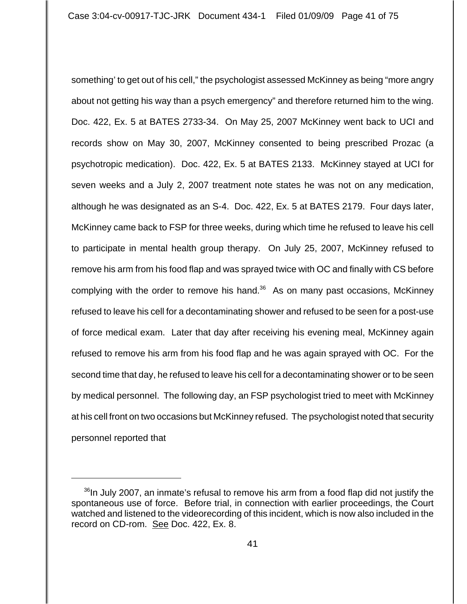something' to get out of his cell," the psychologist assessed McKinney as being "more angry about not getting his way than a psych emergency" and therefore returned him to the wing. Doc. 422, Ex. 5 at BATES 2733-34. On May 25, 2007 McKinney went back to UCI and records show on May 30, 2007, McKinney consented to being prescribed Prozac (a psychotropic medication). Doc. 422, Ex. 5 at BATES 2133. McKinney stayed at UCI for seven weeks and a July 2, 2007 treatment note states he was not on any medication, although he was designated as an S-4. Doc. 422, Ex. 5 at BATES 2179. Four days later, McKinney came back to FSP for three weeks, during which time he refused to leave his cell to participate in mental health group therapy. On July 25, 2007, McKinney refused to remove his arm from his food flap and was sprayed twice with OC and finally with CS before complying with the order to remove his hand.<sup>36</sup> As on many past occasions, McKinney refused to leave his cell for a decontaminating shower and refused to be seen for a post-use of force medical exam. Later that day after receiving his evening meal, McKinney again refused to remove his arm from his food flap and he was again sprayed with OC. For the second time that day, he refused to leave his cell for a decontaminating shower or to be seen by medical personnel. The following day, an FSP psychologist tried to meet with McKinney at his cell front on two occasions but McKinney refused. The psychologist noted that security personnel reported that

 $36$ In July 2007, an inmate's refusal to remove his arm from a food flap did not justify the spontaneous use of force. Before trial, in connection with earlier proceedings, the Court watched and listened to the videorecording of this incident, which is now also included in the record on CD-rom. See Doc. 422, Ex. 8.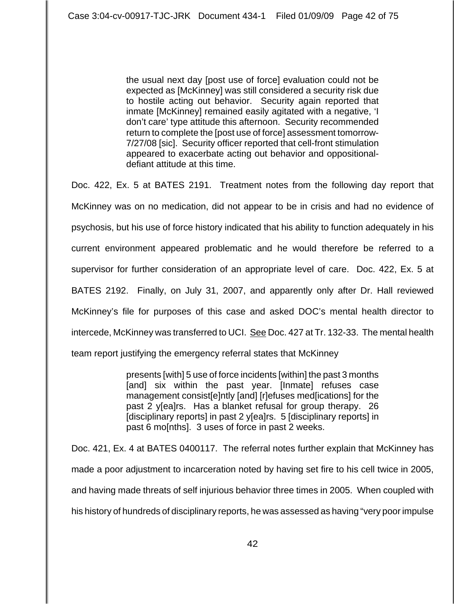the usual next day [post use of force] evaluation could not be expected as [McKinney] was still considered a security risk due to hostile acting out behavior. Security again reported that inmate [McKinney] remained easily agitated with a negative, 'I don't care' type attitude this afternoon. Security recommended return to complete the [post use of force] assessment tomorrow-7/27/08 [sic]. Security officer reported that cell-front stimulation appeared to exacerbate acting out behavior and oppositionaldefiant attitude at this time.

Doc. 422, Ex. 5 at BATES 2191. Treatment notes from the following day report that McKinney was on no medication, did not appear to be in crisis and had no evidence of psychosis, but his use of force history indicated that his ability to function adequately in his current environment appeared problematic and he would therefore be referred to a supervisor for further consideration of an appropriate level of care. Doc. 422, Ex. 5 at BATES 2192. Finally, on July 31, 2007, and apparently only after Dr. Hall reviewed McKinney's file for purposes of this case and asked DOC's mental health director to intercede, McKinney was transferred to UCI. See Doc. 427 at Tr. 132-33. The mental health team report justifying the emergency referral states that McKinney

> presents [with] 5 use of force incidents [within] the past 3 months [and] six within the past year. [Inmate] refuses case management consist[e]ntly [and] [r]efuses med[ications] for the past 2 y[ea]rs. Has a blanket refusal for group therapy. 26 [disciplinary reports] in past 2 y[ea]rs. 5 [disciplinary reports] in past 6 mo[nths]. 3 uses of force in past 2 weeks.

Doc. 421, Ex. 4 at BATES 0400117. The referral notes further explain that McKinney has made a poor adjustment to incarceration noted by having set fire to his cell twice in 2005, and having made threats of self injurious behavior three times in 2005. When coupled with his history of hundreds of disciplinary reports, he was assessed as having "very poor impulse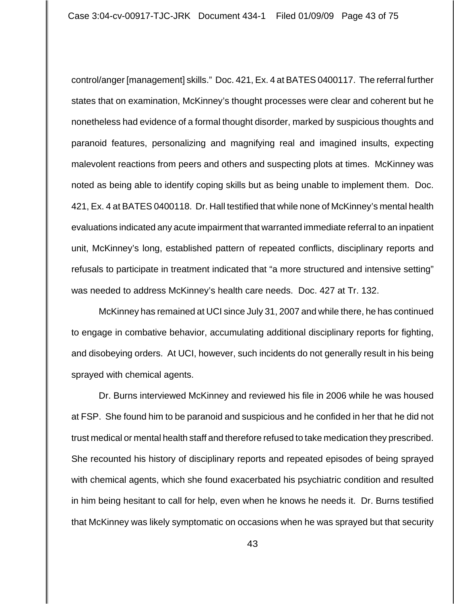control/anger [management] skills." Doc. 421, Ex. 4 at BATES 0400117. The referral further states that on examination, McKinney's thought processes were clear and coherent but he nonetheless had evidence of a formal thought disorder, marked by suspicious thoughts and paranoid features, personalizing and magnifying real and imagined insults, expecting malevolent reactions from peers and others and suspecting plots at times. McKinney was noted as being able to identify coping skills but as being unable to implement them. Doc. 421, Ex. 4 at BATES 0400118. Dr. Hall testified that while none of McKinney's mental health evaluations indicated any acute impairment that warranted immediate referral to an inpatient unit, McKinney's long, established pattern of repeated conflicts, disciplinary reports and refusals to participate in treatment indicated that "a more structured and intensive setting" was needed to address McKinney's health care needs. Doc. 427 at Tr. 132.

McKinney has remained at UCI since July 31, 2007 and while there, he has continued to engage in combative behavior, accumulating additional disciplinary reports for fighting, and disobeying orders. At UCI, however, such incidents do not generally result in his being sprayed with chemical agents.

Dr. Burns interviewed McKinney and reviewed his file in 2006 while he was housed at FSP. She found him to be paranoid and suspicious and he confided in her that he did not trust medical or mental health staff and therefore refused to take medication they prescribed. She recounted his history of disciplinary reports and repeated episodes of being sprayed with chemical agents, which she found exacerbated his psychiatric condition and resulted in him being hesitant to call for help, even when he knows he needs it. Dr. Burns testified that McKinney was likely symptomatic on occasions when he was sprayed but that security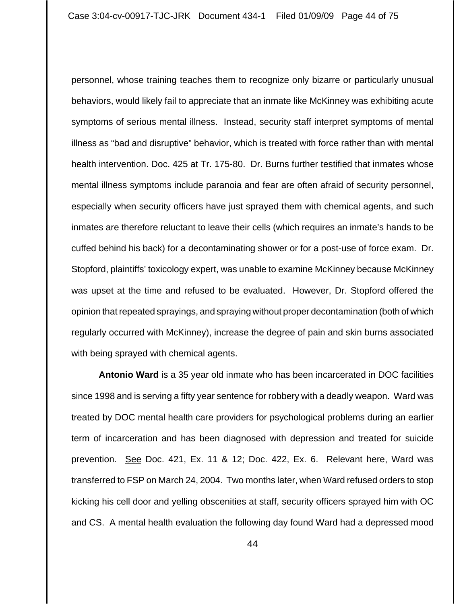personnel, whose training teaches them to recognize only bizarre or particularly unusual behaviors, would likely fail to appreciate that an inmate like McKinney was exhibiting acute symptoms of serious mental illness. Instead, security staff interpret symptoms of mental illness as "bad and disruptive" behavior, which is treated with force rather than with mental health intervention. Doc. 425 at Tr. 175-80. Dr. Burns further testified that inmates whose mental illness symptoms include paranoia and fear are often afraid of security personnel, especially when security officers have just sprayed them with chemical agents, and such inmates are therefore reluctant to leave their cells (which requires an inmate's hands to be cuffed behind his back) for a decontaminating shower or for a post-use of force exam. Dr. Stopford, plaintiffs' toxicology expert, was unable to examine McKinney because McKinney was upset at the time and refused to be evaluated. However, Dr. Stopford offered the opinion that repeated sprayings, and spraying without proper decontamination (both of which regularly occurred with McKinney), increase the degree of pain and skin burns associated with being sprayed with chemical agents.

**Antonio Ward** is a 35 year old inmate who has been incarcerated in DOC facilities since 1998 and is serving a fifty year sentence for robbery with a deadly weapon. Ward was treated by DOC mental health care providers for psychological problems during an earlier term of incarceration and has been diagnosed with depression and treated for suicide prevention. See Doc. 421, Ex. 11 & 12; Doc. 422, Ex. 6. Relevant here, Ward was transferred to FSP on March 24, 2004. Two months later, when Ward refused orders to stop kicking his cell door and yelling obscenities at staff, security officers sprayed him with OC and CS. A mental health evaluation the following day found Ward had a depressed mood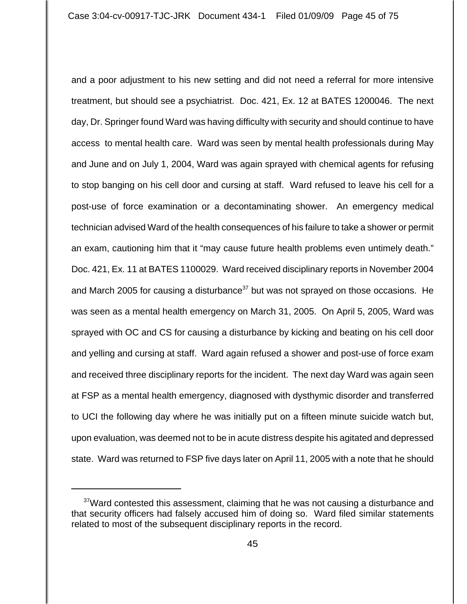and a poor adjustment to his new setting and did not need a referral for more intensive treatment, but should see a psychiatrist. Doc. 421, Ex. 12 at BATES 1200046. The next day, Dr. Springer found Ward was having difficulty with security and should continue to have access to mental health care. Ward was seen by mental health professionals during May and June and on July 1, 2004, Ward was again sprayed with chemical agents for refusing to stop banging on his cell door and cursing at staff. Ward refused to leave his cell for a post-use of force examination or a decontaminating shower. An emergency medical technician advised Ward of the health consequences of his failure to take a shower or permit an exam, cautioning him that it "may cause future health problems even untimely death." Doc. 421, Ex. 11 at BATES 1100029. Ward received disciplinary reports in November 2004 and March 2005 for causing a disturbance<sup>37</sup> but was not sprayed on those occasions. He was seen as a mental health emergency on March 31, 2005. On April 5, 2005, Ward was sprayed with OC and CS for causing a disturbance by kicking and beating on his cell door and yelling and cursing at staff. Ward again refused a shower and post-use of force exam and received three disciplinary reports for the incident. The next day Ward was again seen at FSP as a mental health emergency, diagnosed with dysthymic disorder and transferred to UCI the following day where he was initially put on a fifteen minute suicide watch but, upon evaluation, was deemed not to be in acute distress despite his agitated and depressed state. Ward was returned to FSP five days later on April 11, 2005 with a note that he should

 $37$ Ward contested this assessment, claiming that he was not causing a disturbance and that security officers had falsely accused him of doing so. Ward filed similar statements related to most of the subsequent disciplinary reports in the record.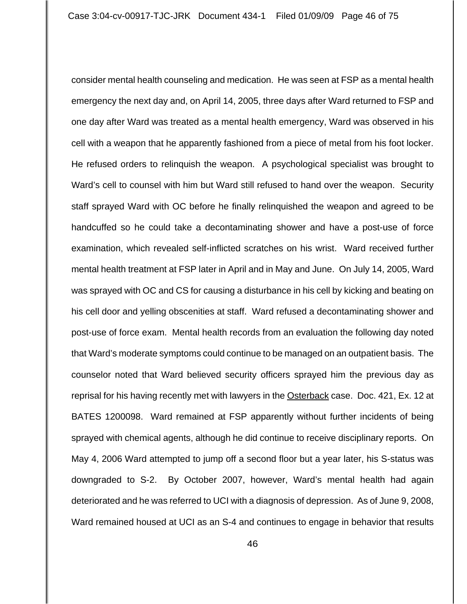consider mental health counseling and medication. He was seen at FSP as a mental health emergency the next day and, on April 14, 2005, three days after Ward returned to FSP and one day after Ward was treated as a mental health emergency, Ward was observed in his cell with a weapon that he apparently fashioned from a piece of metal from his foot locker. He refused orders to relinquish the weapon. A psychological specialist was brought to Ward's cell to counsel with him but Ward still refused to hand over the weapon. Security staff sprayed Ward with OC before he finally relinquished the weapon and agreed to be handcuffed so he could take a decontaminating shower and have a post-use of force examination, which revealed self-inflicted scratches on his wrist. Ward received further mental health treatment at FSP later in April and in May and June. On July 14, 2005, Ward was sprayed with OC and CS for causing a disturbance in his cell by kicking and beating on his cell door and yelling obscenities at staff. Ward refused a decontaminating shower and post-use of force exam. Mental health records from an evaluation the following day noted that Ward's moderate symptoms could continue to be managed on an outpatient basis. The counselor noted that Ward believed security officers sprayed him the previous day as reprisal for his having recently met with lawyers in the Osterback case. Doc. 421, Ex. 12 at BATES 1200098. Ward remained at FSP apparently without further incidents of being sprayed with chemical agents, although he did continue to receive disciplinary reports. On May 4, 2006 Ward attempted to jump off a second floor but a year later, his S-status was downgraded to S-2. By October 2007, however, Ward's mental health had again deteriorated and he was referred to UCI with a diagnosis of depression. As of June 9, 2008, Ward remained housed at UCI as an S-4 and continues to engage in behavior that results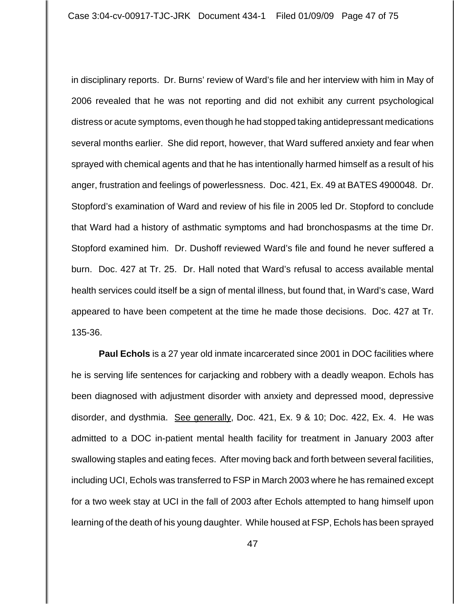in disciplinary reports. Dr. Burns' review of Ward's file and her interview with him in May of 2006 revealed that he was not reporting and did not exhibit any current psychological distress or acute symptoms, even though he had stopped taking antidepressant medications several months earlier. She did report, however, that Ward suffered anxiety and fear when sprayed with chemical agents and that he has intentionally harmed himself as a result of his anger, frustration and feelings of powerlessness. Doc. 421, Ex. 49 at BATES 4900048. Dr. Stopford's examination of Ward and review of his file in 2005 led Dr. Stopford to conclude that Ward had a history of asthmatic symptoms and had bronchospasms at the time Dr. Stopford examined him. Dr. Dushoff reviewed Ward's file and found he never suffered a burn. Doc. 427 at Tr. 25. Dr. Hall noted that Ward's refusal to access available mental health services could itself be a sign of mental illness, but found that, in Ward's case, Ward appeared to have been competent at the time he made those decisions. Doc. 427 at Tr. 135-36.

**Paul Echols** is a 27 year old inmate incarcerated since 2001 in DOC facilities where he is serving life sentences for carjacking and robbery with a deadly weapon. Echols has been diagnosed with adjustment disorder with anxiety and depressed mood, depressive disorder, and dysthmia. See generally, Doc. 421, Ex. 9 & 10; Doc. 422, Ex. 4. He was admitted to a DOC in-patient mental health facility for treatment in January 2003 after swallowing staples and eating feces. After moving back and forth between several facilities, including UCI, Echols was transferred to FSP in March 2003 where he has remained except for a two week stay at UCI in the fall of 2003 after Echols attempted to hang himself upon learning of the death of his young daughter. While housed at FSP, Echols has been sprayed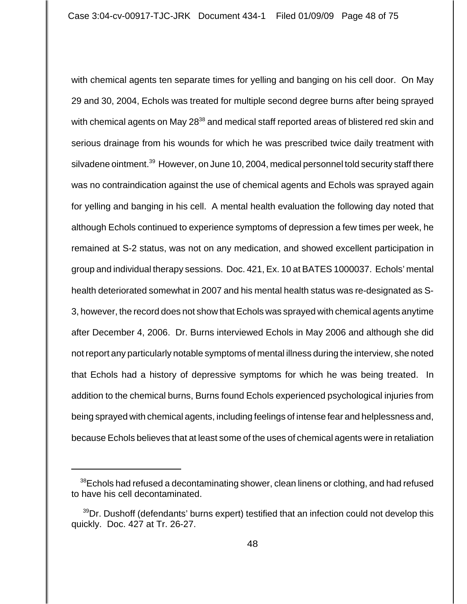with chemical agents ten separate times for yelling and banging on his cell door. On May 29 and 30, 2004, Echols was treated for multiple second degree burns after being sprayed with chemical agents on May 28<sup>38</sup> and medical staff reported areas of blistered red skin and serious drainage from his wounds for which he was prescribed twice daily treatment with silvadene ointment.<sup>39</sup> However, on June 10, 2004, medical personnel told security staff there was no contraindication against the use of chemical agents and Echols was sprayed again for yelling and banging in his cell. A mental health evaluation the following day noted that although Echols continued to experience symptoms of depression a few times per week, he remained at S-2 status, was not on any medication, and showed excellent participation in group and individual therapy sessions. Doc. 421, Ex. 10 at BATES 1000037. Echols' mental health deteriorated somewhat in 2007 and his mental health status was re-designated as S-3, however, the record does not show that Echols was sprayed with chemical agents anytime after December 4, 2006. Dr. Burns interviewed Echols in May 2006 and although she did not report any particularly notable symptoms of mental illness during the interview, she noted that Echols had a history of depressive symptoms for which he was being treated. In addition to the chemical burns, Burns found Echols experienced psychological injuries from being sprayed with chemical agents, including feelings of intense fear and helplessness and, because Echols believes that at least some of the uses of chemical agents were in retaliation

<sup>&</sup>lt;sup>38</sup>Echols had refused a decontaminating shower, clean linens or clothing, and had refused to have his cell decontaminated.

<sup>&</sup>lt;sup>39</sup>Dr. Dushoff (defendants' burns expert) testified that an infection could not develop this quickly. Doc. 427 at Tr. 26-27.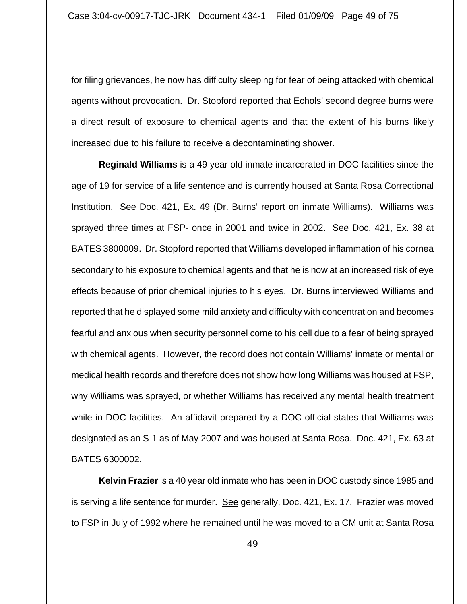for filing grievances, he now has difficulty sleeping for fear of being attacked with chemical agents without provocation. Dr. Stopford reported that Echols' second degree burns were a direct result of exposure to chemical agents and that the extent of his burns likely increased due to his failure to receive a decontaminating shower.

**Reginald Williams** is a 49 year old inmate incarcerated in DOC facilities since the age of 19 for service of a life sentence and is currently housed at Santa Rosa Correctional Institution. See Doc. 421, Ex. 49 (Dr. Burns' report on inmate Williams). Williams was sprayed three times at FSP- once in 2001 and twice in 2002. See Doc. 421, Ex. 38 at BATES 3800009. Dr. Stopford reported that Williams developed inflammation of his cornea secondary to his exposure to chemical agents and that he is now at an increased risk of eye effects because of prior chemical injuries to his eyes. Dr. Burns interviewed Williams and reported that he displayed some mild anxiety and difficulty with concentration and becomes fearful and anxious when security personnel come to his cell due to a fear of being sprayed with chemical agents. However, the record does not contain Williams' inmate or mental or medical health records and therefore does not show how long Williams was housed at FSP, why Williams was sprayed, or whether Williams has received any mental health treatment while in DOC facilities. An affidavit prepared by a DOC official states that Williams was designated as an S-1 as of May 2007 and was housed at Santa Rosa. Doc. 421, Ex. 63 at BATES 6300002.

**Kelvin Frazier** is a 40 year old inmate who has been in DOC custody since 1985 and is serving a life sentence for murder. See generally, Doc. 421, Ex. 17. Frazier was moved to FSP in July of 1992 where he remained until he was moved to a CM unit at Santa Rosa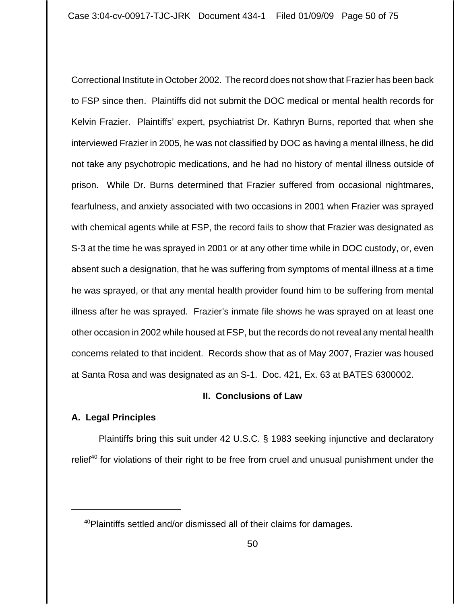Correctional Institute in October 2002. The record does not show that Frazier has been back to FSP since then. Plaintiffs did not submit the DOC medical or mental health records for Kelvin Frazier. Plaintiffs' expert, psychiatrist Dr. Kathryn Burns, reported that when she interviewed Frazier in 2005, he was not classified by DOC as having a mental illness, he did not take any psychotropic medications, and he had no history of mental illness outside of prison. While Dr. Burns determined that Frazier suffered from occasional nightmares, fearfulness, and anxiety associated with two occasions in 2001 when Frazier was sprayed with chemical agents while at FSP, the record fails to show that Frazier was designated as S-3 at the time he was sprayed in 2001 or at any other time while in DOC custody, or, even absent such a designation, that he was suffering from symptoms of mental illness at a time he was sprayed, or that any mental health provider found him to be suffering from mental illness after he was sprayed. Frazier's inmate file shows he was sprayed on at least one other occasion in 2002 while housed at FSP, but the records do not reveal any mental health concerns related to that incident. Records show that as of May 2007, Frazier was housed at Santa Rosa and was designated as an S-1. Doc. 421, Ex. 63 at BATES 6300002.

## **II. Conclusions of Law**

## **A. Legal Principles**

Plaintiffs bring this suit under 42 U.S.C. § 1983 seeking injunctive and declaratory relief<sup>40</sup> for violations of their right to be free from cruel and unusual punishment under the

<sup>&</sup>lt;sup>40</sup>Plaintiffs settled and/or dismissed all of their claims for damages.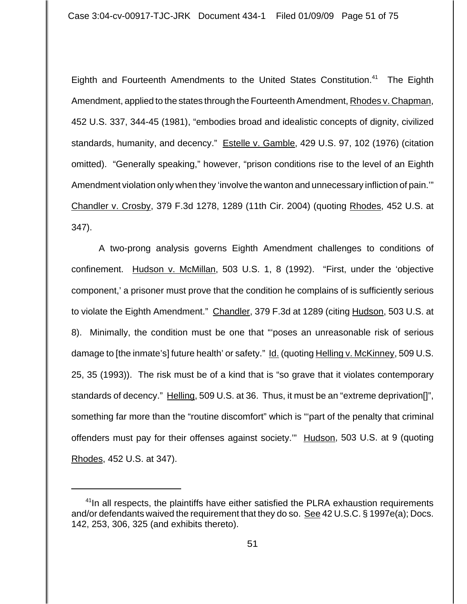Eighth and Fourteenth Amendments to the United States Constitution.<sup>41</sup> The Eighth Amendment, applied to the states through the Fourteenth Amendment, Rhodes v. Chapman, 452 U.S. 337, 344-45 (1981), "embodies broad and idealistic concepts of dignity, civilized standards, humanity, and decency." Estelle v. Gamble, 429 U.S. 97, 102 (1976) (citation omitted). "Generally speaking," however, "prison conditions rise to the level of an Eighth Amendment violation only when they 'involve the wanton and unnecessary infliction of pain.'" Chandler v. Crosby, 379 F.3d 1278, 1289 (11th Cir. 2004) (quoting Rhodes, 452 U.S. at 347).

A two-prong analysis governs Eighth Amendment challenges to conditions of confinement. Hudson v. McMillan, 503 U.S. 1, 8 (1992). "First, under the 'objective component,' a prisoner must prove that the condition he complains of is sufficiently serious to violate the Eighth Amendment." Chandler, 379 F.3d at 1289 (citing Hudson, 503 U.S. at 8). Minimally, the condition must be one that "'poses an unreasonable risk of serious damage to [the inmate's] future health' or safety." Id. (quoting Helling v. McKinney, 509 U.S. 25, 35 (1993)). The risk must be of a kind that is "so grave that it violates contemporary standards of decency." Helling, 509 U.S. at 36. Thus, it must be an "extreme deprivation[]", something far more than the "routine discomfort" which is "'part of the penalty that criminal offenders must pay for their offenses against society." Hudson, 503 U.S. at 9 (quoting Rhodes, 452 U.S. at 347).

<sup>&</sup>lt;sup>41</sup>In all respects, the plaintiffs have either satisfied the PLRA exhaustion requirements and/or defendants waived the requirement that they do so. See 42 U.S.C. § 1997e(a); Docs. 142, 253, 306, 325 (and exhibits thereto).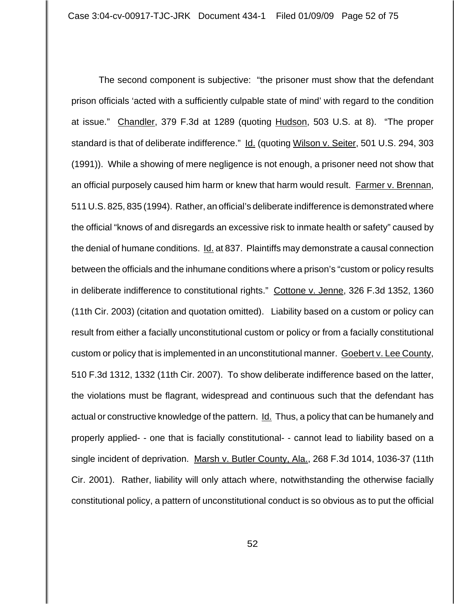The second component is subjective: "the prisoner must show that the defendant prison officials 'acted with a sufficiently culpable state of mind' with regard to the condition at issue." Chandler, 379 F.3d at 1289 (quoting Hudson, 503 U.S. at 8). "The proper standard is that of deliberate indifference." Id. (quoting Wilson v. Seiter, 501 U.S. 294, 303 (1991)). While a showing of mere negligence is not enough, a prisoner need not show that an official purposely caused him harm or knew that harm would result. Farmer v. Brennan, 511 U.S. 825, 835 (1994). Rather, an official's deliberate indifference is demonstrated where the official "knows of and disregards an excessive risk to inmate health or safety" caused by the denial of humane conditions. Id. at 837. Plaintiffs may demonstrate a causal connection between the officials and the inhumane conditions where a prison's "custom or policy results in deliberate indifference to constitutional rights." Cottone v. Jenne, 326 F.3d 1352, 1360 (11th Cir. 2003) (citation and quotation omitted). Liability based on a custom or policy can result from either a facially unconstitutional custom or policy or from a facially constitutional custom or policy that is implemented in an unconstitutional manner. Goebert v. Lee County, 510 F.3d 1312, 1332 (11th Cir. 2007). To show deliberate indifference based on the latter, the violations must be flagrant, widespread and continuous such that the defendant has actual or constructive knowledge of the pattern. Id. Thus, a policy that can be humanely and properly applied- - one that is facially constitutional- - cannot lead to liability based on a single incident of deprivation. Marsh v. Butler County, Ala., 268 F.3d 1014, 1036-37 (11th Cir. 2001). Rather, liability will only attach where, notwithstanding the otherwise facially constitutional policy, a pattern of unconstitutional conduct is so obvious as to put the official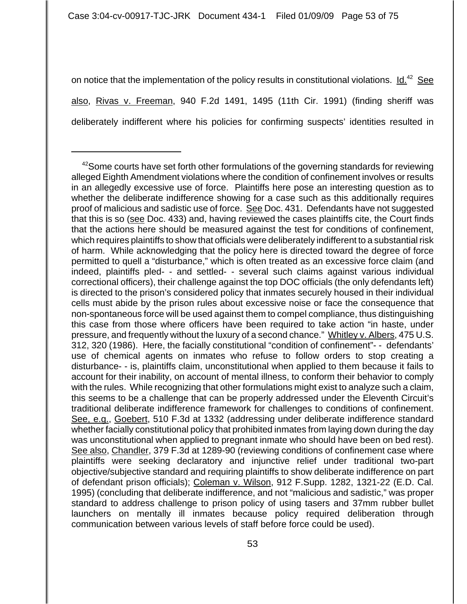on notice that the implementation of the policy results in constitutional violations. Id.<sup>42</sup> See also, Rivas v. Freeman, 940 F.2d 1491, 1495 (11th Cir. 1991) (finding sheriff was deliberately indifferent where his policies for confirming suspects' identities resulted in

 $42$ Some courts have set forth other formulations of the governing standards for reviewing alleged Eighth Amendment violations where the condition of confinement involves or results in an allegedly excessive use of force. Plaintiffs here pose an interesting question as to whether the deliberate indifference showing for a case such as this additionally requires proof of malicious and sadistic use of force. See Doc. 431. Defendants have not suggested that this is so (see Doc. 433) and, having reviewed the cases plaintiffs cite, the Court finds that the actions here should be measured against the test for conditions of confinement, which requires plaintiffs to show that officials were deliberately indifferent to a substantial risk of harm. While acknowledging that the policy here is directed toward the degree of force permitted to quell a "disturbance," which is often treated as an excessive force claim (and indeed, plaintiffs pled- - and settled- - several such claims against various individual correctional officers), their challenge against the top DOC officials (the only defendants left) is directed to the prison's considered policy that inmates securely housed in their individual cells must abide by the prison rules about excessive noise or face the consequence that non-spontaneous force will be used against them to compel compliance, thus distinguishing this case from those where officers have been required to take action "in haste, under pressure, and frequently without the luxury of a second chance." Whitley v. Albers, 475 U.S. 312, 320 (1986). Here, the facially constitutional "condition of confinement"- - defendants' use of chemical agents on inmates who refuse to follow orders to stop creating a disturbance- - is, plaintiffs claim, unconstitutional when applied to them because it fails to account for their inability, on account of mental illness, to conform their behavior to comply with the rules. While recognizing that other formulations might exist to analyze such a claim, this seems to be a challenge that can be properly addressed under the Eleventh Circuit's traditional deliberate indifference framework for challenges to conditions of confinement. See, e.g., Goebert, 510 F.3d at 1332 (addressing under deliberate indifference standard whether facially constitutional policy that prohibited inmates from laying down during the day was unconstitutional when applied to pregnant inmate who should have been on bed rest). See also, Chandler, 379 F.3d at 1289-90 (reviewing conditions of confinement case where plaintiffs were seeking declaratory and injunctive relief under traditional two-part objective/subjective standard and requiring plaintiffs to show deliberate indifference on part of defendant prison officials); Coleman v. Wilson, 912 F.Supp. 1282, 1321-22 (E.D. Cal. 1995) (concluding that deliberate indifference, and not "malicious and sadistic," was proper standard to address challenge to prison policy of using tasers and 37mm rubber bullet launchers on mentally ill inmates because policy required deliberation through communication between various levels of staff before force could be used).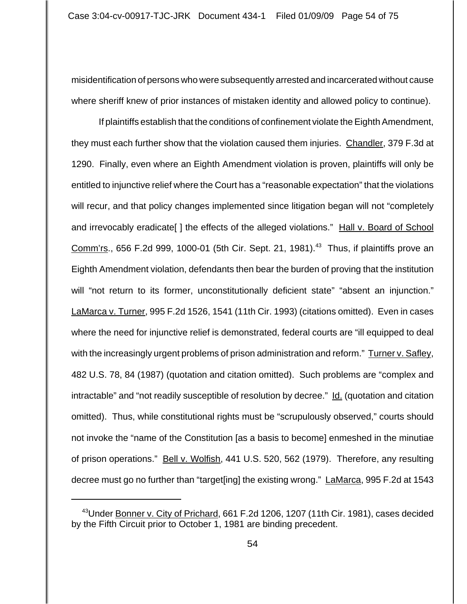misidentification of persons who were subsequently arrested and incarcerated without cause where sheriff knew of prior instances of mistaken identity and allowed policy to continue).

If plaintiffs establish that the conditions of confinement violate the Eighth Amendment, they must each further show that the violation caused them injuries. Chandler, 379 F.3d at 1290. Finally, even where an Eighth Amendment violation is proven, plaintiffs will only be entitled to injunctive relief where the Court has a "reasonable expectation" that the violations will recur, and that policy changes implemented since litigation began will not "completely and irrevocably eradicate[ ] the effects of the alleged violations." Hall v. Board of School Comm'rs., 656 F.2d 999, 1000-01 (5th Cir. Sept. 21, 1981).<sup>43</sup> Thus, if plaintiffs prove an Eighth Amendment violation, defendants then bear the burden of proving that the institution will "not return to its former, unconstitutionally deficient state" "absent an injunction." LaMarca v. Turner, 995 F.2d 1526, 1541 (11th Cir. 1993) (citations omitted). Even in cases where the need for injunctive relief is demonstrated, federal courts are "ill equipped to deal with the increasingly urgent problems of prison administration and reform." Turner v. Safley, 482 U.S. 78, 84 (1987) (quotation and citation omitted). Such problems are "complex and intractable" and "not readily susceptible of resolution by decree." Id. (quotation and citation omitted). Thus, while constitutional rights must be "scrupulously observed," courts should not invoke the "name of the Constitution [as a basis to become] enmeshed in the minutiae of prison operations." Bell v. Wolfish, 441 U.S. 520, 562 (1979). Therefore, any resulting decree must go no further than "target[ing] the existing wrong." LaMarca, 995 F.2d at 1543

<sup>&</sup>lt;sup>43</sup>Under <u>Bonner v. City of Prichard,</u> 661 F.2d 1206, 1207 (11th Cir. 1981), cases decided by the Fifth Circuit prior to October 1, 1981 are binding precedent.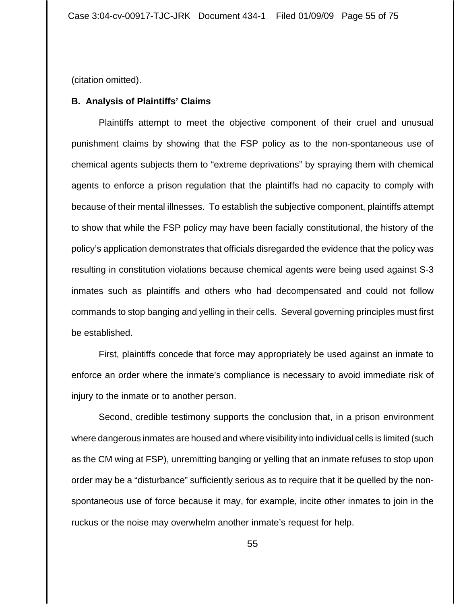(citation omitted).

## **B. Analysis of Plaintiffs' Claims**

Plaintiffs attempt to meet the objective component of their cruel and unusual punishment claims by showing that the FSP policy as to the non-spontaneous use of chemical agents subjects them to "extreme deprivations" by spraying them with chemical agents to enforce a prison regulation that the plaintiffs had no capacity to comply with because of their mental illnesses. To establish the subjective component, plaintiffs attempt to show that while the FSP policy may have been facially constitutional, the history of the policy's application demonstrates that officials disregarded the evidence that the policy was resulting in constitution violations because chemical agents were being used against S-3 inmates such as plaintiffs and others who had decompensated and could not follow commands to stop banging and yelling in their cells. Several governing principles must first be established.

First, plaintiffs concede that force may appropriately be used against an inmate to enforce an order where the inmate's compliance is necessary to avoid immediate risk of injury to the inmate or to another person.

Second, credible testimony supports the conclusion that, in a prison environment where dangerous inmates are housed and where visibility into individual cells is limited (such as the CM wing at FSP), unremitting banging or yelling that an inmate refuses to stop upon order may be a "disturbance" sufficiently serious as to require that it be quelled by the nonspontaneous use of force because it may, for example, incite other inmates to join in the ruckus or the noise may overwhelm another inmate's request for help.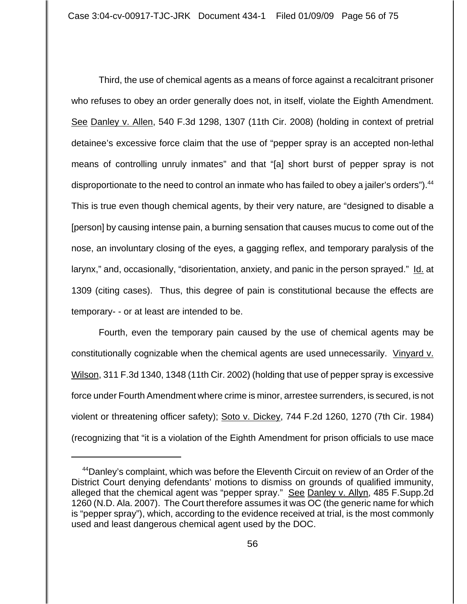Third, the use of chemical agents as a means of force against a recalcitrant prisoner who refuses to obey an order generally does not, in itself, violate the Eighth Amendment. See Danley v. Allen, 540 F.3d 1298, 1307 (11th Cir. 2008) (holding in context of pretrial detainee's excessive force claim that the use of "pepper spray is an accepted non-lethal means of controlling unruly inmates" and that "[a] short burst of pepper spray is not disproportionate to the need to control an inmate who has failed to obey a jailer's orders"). <sup>44</sup> This is true even though chemical agents, by their very nature, are "designed to disable a [person] by causing intense pain, a burning sensation that causes mucus to come out of the nose, an involuntary closing of the eyes, a gagging reflex, and temporary paralysis of the larynx," and, occasionally, "disorientation, anxiety, and panic in the person sprayed." Id. at 1309 (citing cases). Thus, this degree of pain is constitutional because the effects are temporary- - or at least are intended to be.

Fourth, even the temporary pain caused by the use of chemical agents may be constitutionally cognizable when the chemical agents are used unnecessarily. Vinyard v. Wilson, 311 F.3d 1340, 1348 (11th Cir. 2002) (holding that use of pepper spray is excessive force under Fourth Amendment where crime is minor, arrestee surrenders, is secured, is not violent or threatening officer safety); Soto v. Dickey, 744 F.2d 1260, 1270 (7th Cir. 1984) (recognizing that "it is a violation of the Eighth Amendment for prison officials to use mace

<sup>&</sup>lt;sup>44</sup>Danley's complaint, which was before the Eleventh Circuit on review of an Order of the District Court denying defendants' motions to dismiss on grounds of qualified immunity, alleged that the chemical agent was "pepper spray." See Danley v. Allyn, 485 F.Supp.2d 1260 (N.D. Ala. 2007). The Court therefore assumes it was OC (the generic name for which is "pepper spray"), which, according to the evidence received at trial, is the most commonly used and least dangerous chemical agent used by the DOC.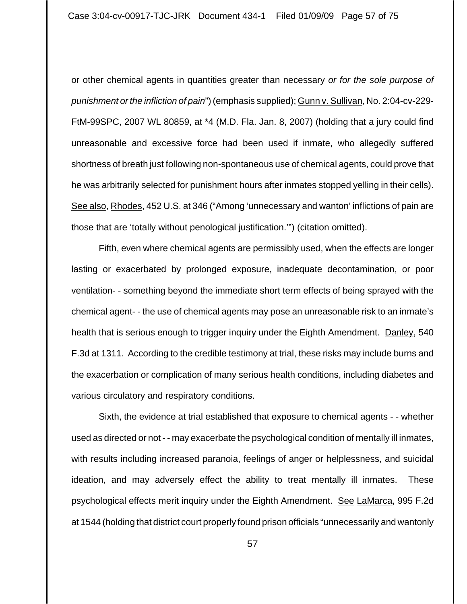or other chemical agents in quantities greater than necessary *or for the sole purpose of punishment or the infliction of pain*") (emphasis supplied); Gunn v. Sullivan, No. 2:04-cv-229- FtM-99SPC, 2007 WL 80859, at \*4 (M.D. Fla. Jan. 8, 2007) (holding that a jury could find unreasonable and excessive force had been used if inmate, who allegedly suffered shortness of breath just following non-spontaneous use of chemical agents, could prove that he was arbitrarily selected for punishment hours after inmates stopped yelling in their cells). See also, Rhodes, 452 U.S. at 346 ("Among 'unnecessary and wanton' inflictions of pain are those that are 'totally without penological justification.'") (citation omitted).

Fifth, even where chemical agents are permissibly used, when the effects are longer lasting or exacerbated by prolonged exposure, inadequate decontamination, or poor ventilation- - something beyond the immediate short term effects of being sprayed with the chemical agent- - the use of chemical agents may pose an unreasonable risk to an inmate's health that is serious enough to trigger inquiry under the Eighth Amendment. Danley, 540 F.3d at 1311. According to the credible testimony at trial, these risks may include burns and the exacerbation or complication of many serious health conditions, including diabetes and various circulatory and respiratory conditions.

Sixth, the evidence at trial established that exposure to chemical agents - - whether used as directed or not - - may exacerbate the psychological condition of mentally ill inmates, with results including increased paranoia, feelings of anger or helplessness, and suicidal ideation, and may adversely effect the ability to treat mentally ill inmates. These psychological effects merit inquiry under the Eighth Amendment. See LaMarca, 995 F.2d at 1544 (holding that district court properly found prison officials "unnecessarily and wantonly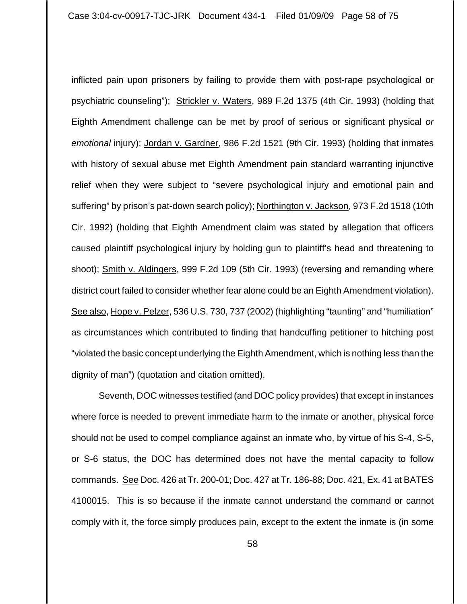inflicted pain upon prisoners by failing to provide them with post-rape psychological or psychiatric counseling"); Strickler v. Waters, 989 F.2d 1375 (4th Cir. 1993) (holding that Eighth Amendment challenge can be met by proof of serious or significant physical *or emotional* injury); Jordan v. Gardner, 986 F.2d 1521 (9th Cir. 1993) (holding that inmates with history of sexual abuse met Eighth Amendment pain standard warranting injunctive relief when they were subject to "severe psychological injury and emotional pain and suffering" by prison's pat-down search policy); Northington v. Jackson, 973 F.2d 1518 (10th Cir. 1992) (holding that Eighth Amendment claim was stated by allegation that officers caused plaintiff psychological injury by holding gun to plaintiff's head and threatening to shoot); Smith v. Aldingers, 999 F.2d 109 (5th Cir. 1993) (reversing and remanding where district court failed to consider whether fear alone could be an Eighth Amendment violation). See also, Hope v. Pelzer, 536 U.S. 730, 737 (2002) (highlighting "taunting" and "humiliation" as circumstances which contributed to finding that handcuffing petitioner to hitching post "violated the basic concept underlying the Eighth Amendment, which is nothing less than the dignity of man") (quotation and citation omitted).

Seventh, DOC witnesses testified (and DOC policy provides) that except in instances where force is needed to prevent immediate harm to the inmate or another, physical force should not be used to compel compliance against an inmate who, by virtue of his S-4, S-5, or S-6 status, the DOC has determined does not have the mental capacity to follow commands. See Doc. 426 at Tr. 200-01; Doc. 427 at Tr. 186-88; Doc. 421, Ex. 41 at BATES 4100015. This is so because if the inmate cannot understand the command or cannot comply with it, the force simply produces pain, except to the extent the inmate is (in some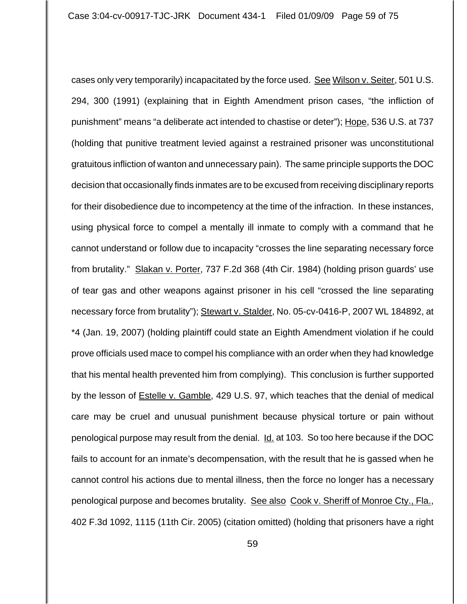cases only very temporarily) incapacitated by the force used. See Wilson v. Seiter, 501 U.S. 294, 300 (1991) (explaining that in Eighth Amendment prison cases, "the infliction of punishment" means "a deliberate act intended to chastise or deter"); Hope, 536 U.S. at 737 (holding that punitive treatment levied against a restrained prisoner was unconstitutional gratuitous infliction of wanton and unnecessary pain). The same principle supports the DOC decision that occasionally finds inmates are to be excused from receiving disciplinary reports for their disobedience due to incompetency at the time of the infraction. In these instances, using physical force to compel a mentally ill inmate to comply with a command that he cannot understand or follow due to incapacity "crosses the line separating necessary force from brutality." Slakan v. Porter, 737 F.2d 368 (4th Cir. 1984) (holding prison guards' use of tear gas and other weapons against prisoner in his cell "crossed the line separating necessary force from brutality"); Stewart v. Stalder, No. 05-cv-0416-P, 2007 WL 184892, at \*4 (Jan. 19, 2007) (holding plaintiff could state an Eighth Amendment violation if he could prove officials used mace to compel his compliance with an order when they had knowledge that his mental health prevented him from complying). This conclusion is further supported by the lesson of **Estelle v. Gamble, 429 U.S. 97, which teaches that the denial of medical** care may be cruel and unusual punishment because physical torture or pain without penological purpose may result from the denial. Id. at 103. So too here because if the DOC fails to account for an inmate's decompensation, with the result that he is gassed when he cannot control his actions due to mental illness, then the force no longer has a necessary penological purpose and becomes brutality. See alsoCook v. Sheriff of Monroe Cty., Fla., 402 F.3d 1092, 1115 (11th Cir. 2005) (citation omitted) (holding that prisoners have a right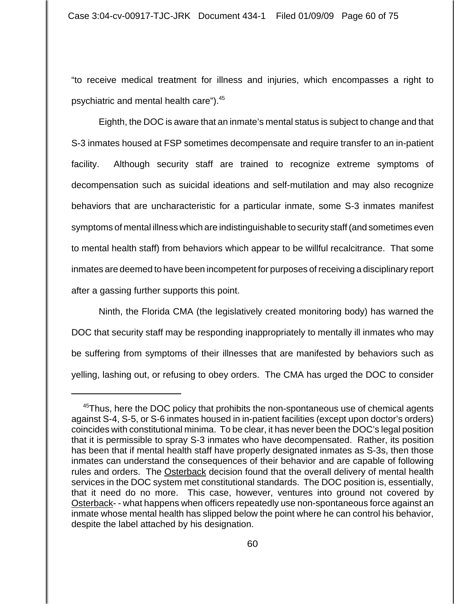"to receive medical treatment for illness and injuries, which encompasses a right to psychiatric and mental health care").45

Eighth, the DOC is aware that an inmate's mental status is subject to change and that S-3 inmates housed at FSP sometimes decompensate and require transfer to an in-patient facility. Although security staff are trained to recognize extreme symptoms of decompensation such as suicidal ideations and self-mutilation and may also recognize behaviors that are uncharacteristic for a particular inmate, some S-3 inmates manifest symptoms of mental illness which are indistinguishable to security staff (and sometimes even to mental health staff) from behaviors which appear to be willful recalcitrance. That some inmates are deemed to have been incompetent for purposes of receiving a disciplinary report after a gassing further supports this point.

 Ninth, the Florida CMA (the legislatively created monitoring body) has warned the DOC that security staff may be responding inappropriately to mentally ill inmates who may be suffering from symptoms of their illnesses that are manifested by behaviors such as yelling, lashing out, or refusing to obey orders. The CMA has urged the DOC to consider

<sup>&</sup>lt;sup>45</sup>Thus, here the DOC policy that prohibits the non-spontaneous use of chemical agents against S-4, S-5, or S-6 inmates housed in in-patient facilities (except upon doctor's orders) coincides with constitutional minima. To be clear, it has never been the DOC's legal position that it is permissible to spray S-3 inmates who have decompensated. Rather, its position has been that if mental health staff have properly designated inmates as S-3s, then those inmates can understand the consequences of their behavior and are capable of following rules and orders. The Osterback decision found that the overall delivery of mental health services in the DOC system met constitutional standards. The DOC position is, essentially, that it need do no more. This case, however, ventures into ground not covered by Osterback- - what happens when officers repeatedly use non-spontaneous force against an inmate whose mental health has slipped below the point where he can control his behavior, despite the label attached by his designation.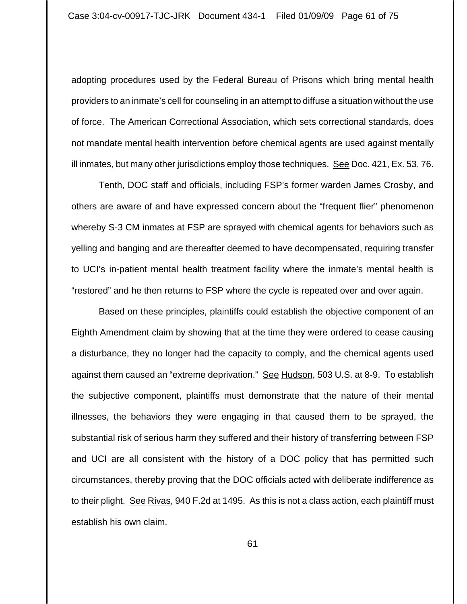adopting procedures used by the Federal Bureau of Prisons which bring mental health providers to an inmate's cell for counseling in an attempt to diffuse a situation without the use of force. The American Correctional Association, which sets correctional standards, does not mandate mental health intervention before chemical agents are used against mentally ill inmates, but many other jurisdictions employ those techniques. See Doc. 421, Ex. 53, 76.

Tenth, DOC staff and officials, including FSP's former warden James Crosby, and others are aware of and have expressed concern about the "frequent flier" phenomenon whereby S-3 CM inmates at FSP are sprayed with chemical agents for behaviors such as yelling and banging and are thereafter deemed to have decompensated, requiring transfer to UCI's in-patient mental health treatment facility where the inmate's mental health is "restored" and he then returns to FSP where the cycle is repeated over and over again.

Based on these principles, plaintiffs could establish the objective component of an Eighth Amendment claim by showing that at the time they were ordered to cease causing a disturbance, they no longer had the capacity to comply, and the chemical agents used against them caused an "extreme deprivation." See Hudson, 503 U.S. at 8-9. To establish the subjective component, plaintiffs must demonstrate that the nature of their mental illnesses, the behaviors they were engaging in that caused them to be sprayed, the substantial risk of serious harm they suffered and their history of transferring between FSP and UCI are all consistent with the history of a DOC policy that has permitted such circumstances, thereby proving that the DOC officials acted with deliberate indifference as to their plight. See Rivas, 940 F.2d at 1495. As this is not a class action, each plaintiff must establish his own claim.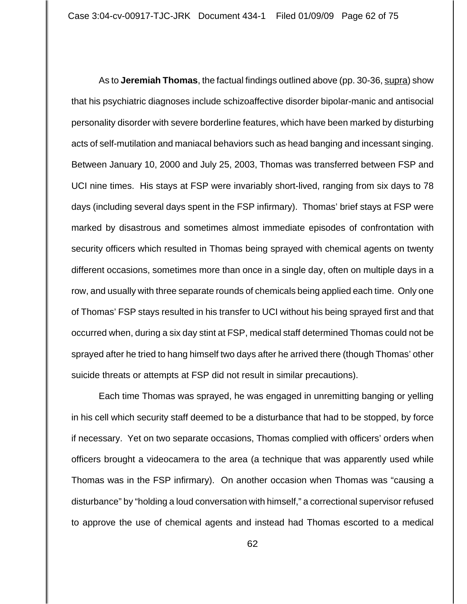As to **Jeremiah Thomas**, the factual findings outlined above (pp. 30-36, supra) show that his psychiatric diagnoses include schizoaffective disorder bipolar-manic and antisocial personality disorder with severe borderline features, which have been marked by disturbing acts of self-mutilation and maniacal behaviors such as head banging and incessant singing. Between January 10, 2000 and July 25, 2003, Thomas was transferred between FSP and UCI nine times. His stays at FSP were invariably short-lived, ranging from six days to 78 days (including several days spent in the FSP infirmary). Thomas' brief stays at FSP were marked by disastrous and sometimes almost immediate episodes of confrontation with security officers which resulted in Thomas being sprayed with chemical agents on twenty different occasions, sometimes more than once in a single day, often on multiple days in a row, and usually with three separate rounds of chemicals being applied each time. Only one of Thomas' FSP stays resulted in his transfer to UCI without his being sprayed first and that occurred when, during a six day stint at FSP, medical staff determined Thomas could not be sprayed after he tried to hang himself two days after he arrived there (though Thomas' other suicide threats or attempts at FSP did not result in similar precautions).

Each time Thomas was sprayed, he was engaged in unremitting banging or yelling in his cell which security staff deemed to be a disturbance that had to be stopped, by force if necessary. Yet on two separate occasions, Thomas complied with officers' orders when officers brought a videocamera to the area (a technique that was apparently used while Thomas was in the FSP infirmary). On another occasion when Thomas was "causing a disturbance" by "holding a loud conversation with himself," a correctional supervisor refused to approve the use of chemical agents and instead had Thomas escorted to a medical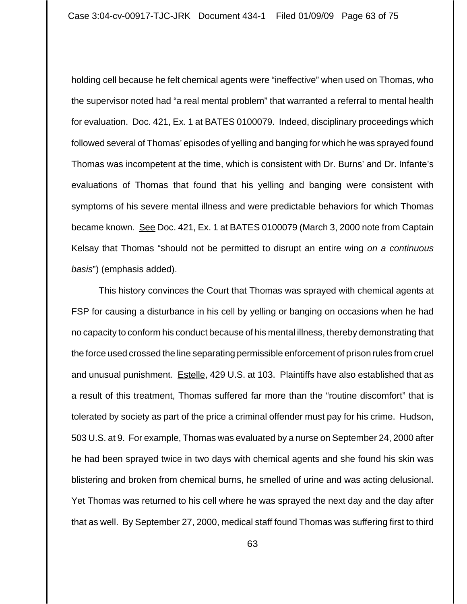holding cell because he felt chemical agents were "ineffective" when used on Thomas, who the supervisor noted had "a real mental problem" that warranted a referral to mental health for evaluation. Doc. 421, Ex. 1 at BATES 0100079. Indeed, disciplinary proceedings which followed several of Thomas' episodes of yelling and banging for which he was sprayed found Thomas was incompetent at the time, which is consistent with Dr. Burns' and Dr. Infante's evaluations of Thomas that found that his yelling and banging were consistent with symptoms of his severe mental illness and were predictable behaviors for which Thomas became known. See Doc. 421, Ex. 1 at BATES 0100079 (March 3, 2000 note from Captain Kelsay that Thomas "should not be permitted to disrupt an entire wing *on a continuous basis*") (emphasis added).

This history convinces the Court that Thomas was sprayed with chemical agents at FSP for causing a disturbance in his cell by yelling or banging on occasions when he had no capacity to conform his conduct because of his mental illness, thereby demonstrating that the force used crossed the line separating permissible enforcement of prison rules from cruel and unusual punishment. Estelle, 429 U.S. at 103. Plaintiffs have also established that as a result of this treatment, Thomas suffered far more than the "routine discomfort" that is tolerated by society as part of the price a criminal offender must pay for his crime. Hudson, 503 U.S. at 9. For example, Thomas was evaluated by a nurse on September 24, 2000 after he had been sprayed twice in two days with chemical agents and she found his skin was blistering and broken from chemical burns, he smelled of urine and was acting delusional. Yet Thomas was returned to his cell where he was sprayed the next day and the day after that as well. By September 27, 2000, medical staff found Thomas was suffering first to third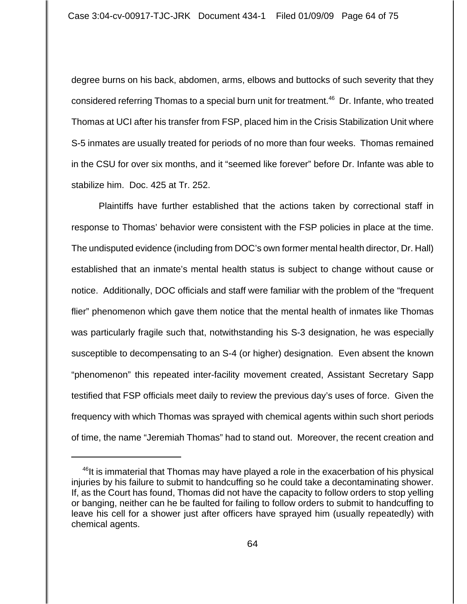degree burns on his back, abdomen, arms, elbows and buttocks of such severity that they considered referring Thomas to a special burn unit for treatment.<sup>46</sup> Dr. Infante, who treated Thomas at UCI after his transfer from FSP, placed him in the Crisis Stabilization Unit where S-5 inmates are usually treated for periods of no more than four weeks. Thomas remained in the CSU for over six months, and it "seemed like forever" before Dr. Infante was able to stabilize him. Doc. 425 at Tr. 252.

Plaintiffs have further established that the actions taken by correctional staff in response to Thomas' behavior were consistent with the FSP policies in place at the time. The undisputed evidence (including from DOC's own former mental health director, Dr. Hall) established that an inmate's mental health status is subject to change without cause or notice. Additionally, DOC officials and staff were familiar with the problem of the "frequent flier" phenomenon which gave them notice that the mental health of inmates like Thomas was particularly fragile such that, notwithstanding his S-3 designation, he was especially susceptible to decompensating to an S-4 (or higher) designation. Even absent the known "phenomenon" this repeated inter-facility movement created, Assistant Secretary Sapp testified that FSP officials meet daily to review the previous day's uses of force. Given the frequency with which Thomas was sprayed with chemical agents within such short periods of time, the name "Jeremiah Thomas" had to stand out. Moreover, the recent creation and

<sup>&</sup>lt;sup>46</sup>It is immaterial that Thomas may have played a role in the exacerbation of his physical injuries by his failure to submit to handcuffing so he could take a decontaminating shower. If, as the Court has found, Thomas did not have the capacity to follow orders to stop yelling or banging, neither can he be faulted for failing to follow orders to submit to handcuffing to leave his cell for a shower just after officers have sprayed him (usually repeatedly) with chemical agents.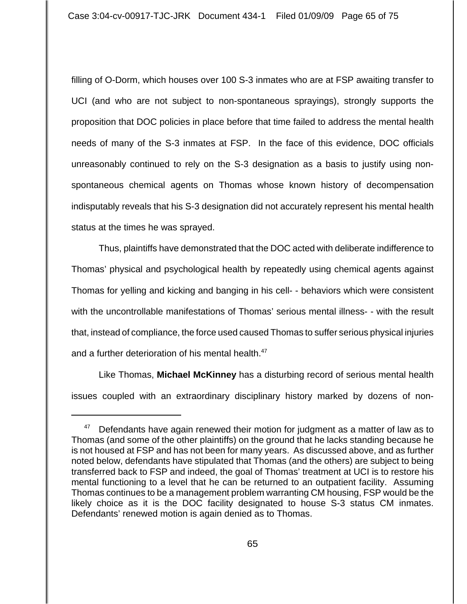filling of O-Dorm, which houses over 100 S-3 inmates who are at FSP awaiting transfer to UCI (and who are not subject to non-spontaneous sprayings), strongly supports the proposition that DOC policies in place before that time failed to address the mental health needs of many of the S-3 inmates at FSP. In the face of this evidence, DOC officials unreasonably continued to rely on the S-3 designation as a basis to justify using nonspontaneous chemical agents on Thomas whose known history of decompensation indisputably reveals that his S-3 designation did not accurately represent his mental health status at the times he was sprayed.

Thus, plaintiffs have demonstrated that the DOC acted with deliberate indifference to Thomas' physical and psychological health by repeatedly using chemical agents against Thomas for yelling and kicking and banging in his cell- - behaviors which were consistent with the uncontrollable manifestations of Thomas' serious mental illness- - with the result that, instead of compliance, the force used caused Thomas to suffer serious physical injuries and a further deterioration of his mental health.<sup>47</sup>

Like Thomas, **Michael McKinney** has a disturbing record of serious mental health issues coupled with an extraordinary disciplinary history marked by dozens of non-

 $47$  Defendants have again renewed their motion for judgment as a matter of law as to Thomas (and some of the other plaintiffs) on the ground that he lacks standing because he is not housed at FSP and has not been for many years. As discussed above, and as further noted below, defendants have stipulated that Thomas (and the others) are subject to being transferred back to FSP and indeed, the goal of Thomas' treatment at UCI is to restore his mental functioning to a level that he can be returned to an outpatient facility. Assuming Thomas continues to be a management problem warranting CM housing, FSP would be the likely choice as it is the DOC facility designated to house S-3 status CM inmates. Defendants' renewed motion is again denied as to Thomas.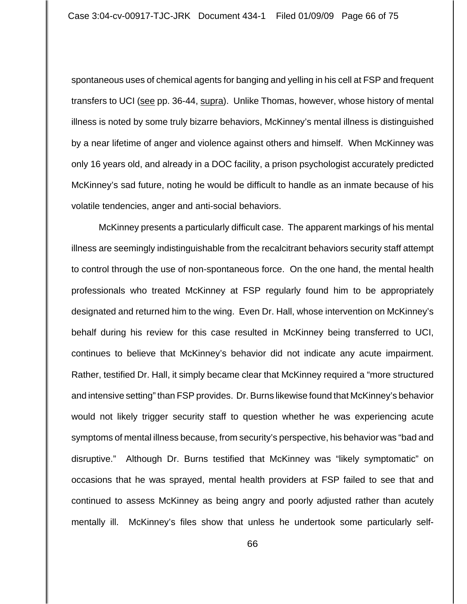spontaneous uses of chemical agents for banging and yelling in his cell at FSP and frequent transfers to UCI (see pp. 36-44, supra). Unlike Thomas, however, whose history of mental illness is noted by some truly bizarre behaviors, McKinney's mental illness is distinguished by a near lifetime of anger and violence against others and himself. When McKinney was only 16 years old, and already in a DOC facility, a prison psychologist accurately predicted McKinney's sad future, noting he would be difficult to handle as an inmate because of his volatile tendencies, anger and anti-social behaviors.

McKinney presents a particularly difficult case. The apparent markings of his mental illness are seemingly indistinguishable from the recalcitrant behaviors security staff attempt to control through the use of non-spontaneous force. On the one hand, the mental health professionals who treated McKinney at FSP regularly found him to be appropriately designated and returned him to the wing. Even Dr. Hall, whose intervention on McKinney's behalf during his review for this case resulted in McKinney being transferred to UCI, continues to believe that McKinney's behavior did not indicate any acute impairment. Rather, testified Dr. Hall, it simply became clear that McKinney required a "more structured and intensive setting" than FSP provides. Dr. Burns likewise found that McKinney's behavior would not likely trigger security staff to question whether he was experiencing acute symptoms of mental illness because, from security's perspective, his behavior was "bad and disruptive." Although Dr. Burns testified that McKinney was "likely symptomatic" on occasions that he was sprayed, mental health providers at FSP failed to see that and continued to assess McKinney as being angry and poorly adjusted rather than acutely mentally ill. McKinney's files show that unless he undertook some particularly self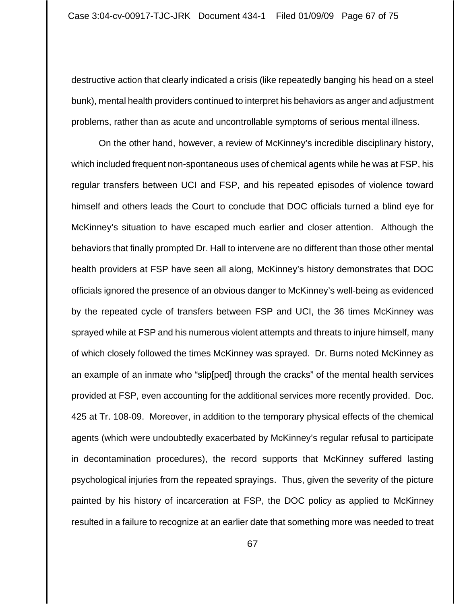destructive action that clearly indicated a crisis (like repeatedly banging his head on a steel bunk), mental health providers continued to interpret his behaviors as anger and adjustment problems, rather than as acute and uncontrollable symptoms of serious mental illness.

On the other hand, however, a review of McKinney's incredible disciplinary history, which included frequent non-spontaneous uses of chemical agents while he was at FSP, his regular transfers between UCI and FSP, and his repeated episodes of violence toward himself and others leads the Court to conclude that DOC officials turned a blind eye for McKinney's situation to have escaped much earlier and closer attention. Although the behaviors that finally prompted Dr. Hall to intervene are no different than those other mental health providers at FSP have seen all along, McKinney's history demonstrates that DOC officials ignored the presence of an obvious danger to McKinney's well-being as evidenced by the repeated cycle of transfers between FSP and UCI, the 36 times McKinney was sprayed while at FSP and his numerous violent attempts and threats to injure himself, many of which closely followed the times McKinney was sprayed. Dr. Burns noted McKinney as an example of an inmate who "slip[ped] through the cracks" of the mental health services provided at FSP, even accounting for the additional services more recently provided. Doc. 425 at Tr. 108-09. Moreover, in addition to the temporary physical effects of the chemical agents (which were undoubtedly exacerbated by McKinney's regular refusal to participate in decontamination procedures), the record supports that McKinney suffered lasting psychological injuries from the repeated sprayings. Thus, given the severity of the picture painted by his history of incarceration at FSP, the DOC policy as applied to McKinney resulted in a failure to recognize at an earlier date that something more was needed to treat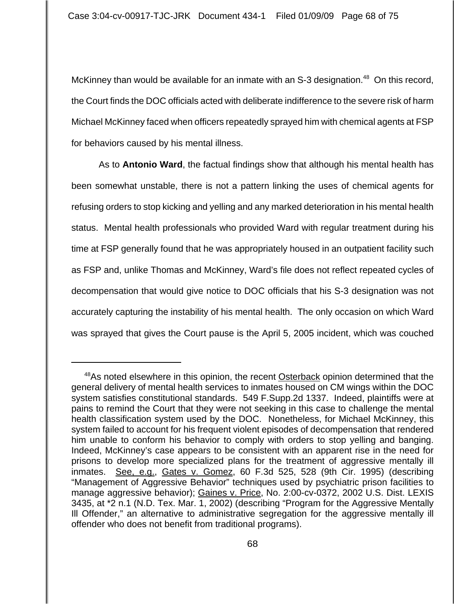McKinney than would be available for an inmate with an  $S-3$  designation.<sup>48</sup> On this record, the Court finds the DOC officials acted with deliberate indifference to the severe risk of harm Michael McKinney faced when officers repeatedly sprayed him with chemical agents at FSP for behaviors caused by his mental illness.

As to **Antonio Ward**, the factual findings show that although his mental health has been somewhat unstable, there is not a pattern linking the uses of chemical agents for refusing orders to stop kicking and yelling and any marked deterioration in his mental health status. Mental health professionals who provided Ward with regular treatment during his time at FSP generally found that he was appropriately housed in an outpatient facility such as FSP and, unlike Thomas and McKinney, Ward's file does not reflect repeated cycles of decompensation that would give notice to DOC officials that his S-3 designation was not accurately capturing the instability of his mental health. The only occasion on which Ward was sprayed that gives the Court pause is the April 5, 2005 incident, which was couched

<sup>&</sup>lt;sup>48</sup>As noted elsewhere in this opinion, the recent Osterback opinion determined that the general delivery of mental health services to inmates housed on CM wings within the DOC system satisfies constitutional standards. 549 F.Supp.2d 1337. Indeed, plaintiffs were at pains to remind the Court that they were not seeking in this case to challenge the mental health classification system used by the DOC. Nonetheless, for Michael McKinney, this system failed to account for his frequent violent episodes of decompensation that rendered him unable to conform his behavior to comply with orders to stop yelling and banging. Indeed, McKinney's case appears to be consistent with an apparent rise in the need for prisons to develop more specialized plans for the treatment of aggressive mentally ill inmates. See, e.g., Gates v. Gomez, 60 F.3d 525, 528 (9th Cir. 1995) (describing "Management of Aggressive Behavior" techniques used by psychiatric prison facilities to manage aggressive behavior); Gaines v. Price, No. 2:00-cv-0372, 2002 U.S. Dist. LEXIS 3435, at \*2 n.1 (N.D. Tex. Mar. 1, 2002) (describing "Program for the Aggressive Mentally Ill Offender," an alternative to administrative segregation for the aggressive mentally ill offender who does not benefit from traditional programs).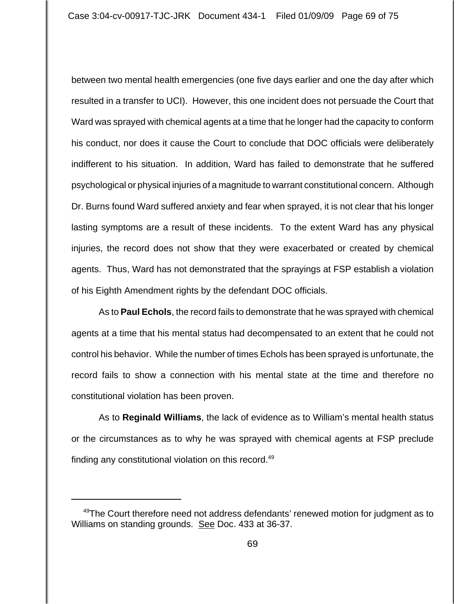between two mental health emergencies (one five days earlier and one the day after which resulted in a transfer to UCI). However, this one incident does not persuade the Court that Ward was sprayed with chemical agents at a time that he longer had the capacity to conform his conduct, nor does it cause the Court to conclude that DOC officials were deliberately indifferent to his situation. In addition, Ward has failed to demonstrate that he suffered psychological or physical injuries of a magnitude to warrant constitutional concern. Although Dr. Burns found Ward suffered anxiety and fear when sprayed, it is not clear that his longer lasting symptoms are a result of these incidents. To the extent Ward has any physical injuries, the record does not show that they were exacerbated or created by chemical agents. Thus, Ward has not demonstrated that the sprayings at FSP establish a violation of his Eighth Amendment rights by the defendant DOC officials.

As to **Paul Echols**, the record fails to demonstrate that he was sprayed with chemical agents at a time that his mental status had decompensated to an extent that he could not control his behavior. While the number of times Echols has been sprayed is unfortunate, the record fails to show a connection with his mental state at the time and therefore no constitutional violation has been proven.

As to **Reginald Williams**, the lack of evidence as to William's mental health status or the circumstances as to why he was sprayed with chemical agents at FSP preclude finding any constitutional violation on this record.<sup>49</sup>

<sup>&</sup>lt;sup>49</sup>The Court therefore need not address defendants' renewed motion for judgment as to Williams on standing grounds. See Doc. 433 at 36-37.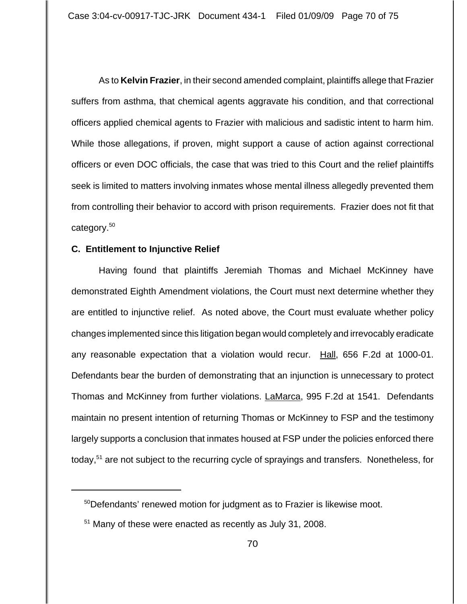As to **Kelvin Frazier**, in their second amended complaint, plaintiffs allege that Frazier suffers from asthma, that chemical agents aggravate his condition, and that correctional officers applied chemical agents to Frazier with malicious and sadistic intent to harm him. While those allegations, if proven, might support a cause of action against correctional officers or even DOC officials, the case that was tried to this Court and the relief plaintiffs seek is limited to matters involving inmates whose mental illness allegedly prevented them from controlling their behavior to accord with prison requirements. Frazier does not fit that category.<sup>50</sup>

## **C. Entitlement to Injunctive Relief**

Having found that plaintiffs Jeremiah Thomas and Michael McKinney have demonstrated Eighth Amendment violations, the Court must next determine whether they are entitled to injunctive relief. As noted above, the Court must evaluate whether policy changes implemented since this litigation began would completely and irrevocably eradicate any reasonable expectation that a violation would recur. Hall, 656 F.2d at 1000-01. Defendants bear the burden of demonstrating that an injunction is unnecessary to protect Thomas and McKinney from further violations. LaMarca, 995 F.2d at 1541. Defendants maintain no present intention of returning Thomas or McKinney to FSP and the testimony largely supports a conclusion that inmates housed at FSP under the policies enforced there today,<sup>51</sup> are not subject to the recurring cycle of sprayings and transfers. Nonetheless, for

<sup>&</sup>lt;sup>50</sup>Defendants' renewed motion for judgment as to Frazier is likewise moot.

<sup>&</sup>lt;sup>51</sup> Many of these were enacted as recently as July 31, 2008.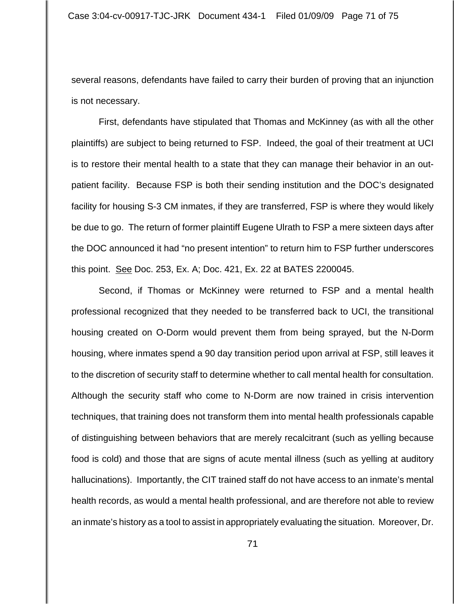several reasons, defendants have failed to carry their burden of proving that an injunction is not necessary.

First, defendants have stipulated that Thomas and McKinney (as with all the other plaintiffs) are subject to being returned to FSP. Indeed, the goal of their treatment at UCI is to restore their mental health to a state that they can manage their behavior in an outpatient facility. Because FSP is both their sending institution and the DOC's designated facility for housing S-3 CM inmates, if they are transferred, FSP is where they would likely be due to go. The return of former plaintiff Eugene Ulrath to FSP a mere sixteen days after the DOC announced it had "no present intention" to return him to FSP further underscores this point. See Doc. 253, Ex. A; Doc. 421, Ex. 22 at BATES 2200045.

Second, if Thomas or McKinney were returned to FSP and a mental health professional recognized that they needed to be transferred back to UCI, the transitional housing created on O-Dorm would prevent them from being sprayed, but the N-Dorm housing, where inmates spend a 90 day transition period upon arrival at FSP, still leaves it to the discretion of security staff to determine whether to call mental health for consultation. Although the security staff who come to N-Dorm are now trained in crisis intervention techniques, that training does not transform them into mental health professionals capable of distinguishing between behaviors that are merely recalcitrant (such as yelling because food is cold) and those that are signs of acute mental illness (such as yelling at auditory hallucinations). Importantly, the CIT trained staff do not have access to an inmate's mental health records, as would a mental health professional, and are therefore not able to review an inmate's history as a tool to assist in appropriately evaluating the situation. Moreover, Dr.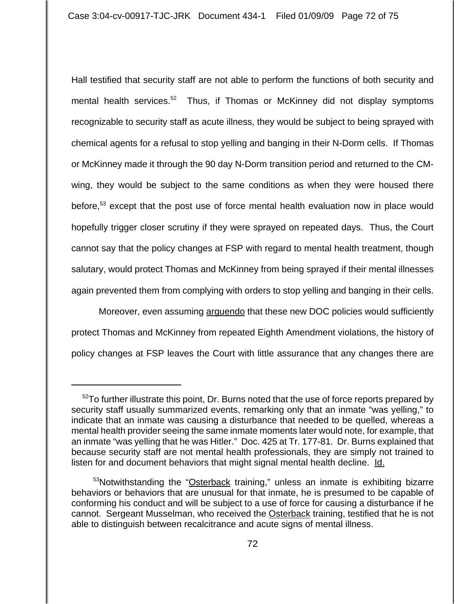Hall testified that security staff are not able to perform the functions of both security and mental health services.<sup>52</sup> Thus, if Thomas or McKinney did not display symptoms recognizable to security staff as acute illness, they would be subject to being sprayed with chemical agents for a refusal to stop yelling and banging in their N-Dorm cells. If Thomas or McKinney made it through the 90 day N-Dorm transition period and returned to the CMwing, they would be subject to the same conditions as when they were housed there before,<sup>53</sup> except that the post use of force mental health evaluation now in place would hopefully trigger closer scrutiny if they were sprayed on repeated days. Thus, the Court cannot say that the policy changes at FSP with regard to mental health treatment, though salutary, would protect Thomas and McKinney from being sprayed if their mental illnesses again prevented them from complying with orders to stop yelling and banging in their cells.

Moreover, even assuming arguendo that these new DOC policies would sufficiently protect Thomas and McKinney from repeated Eighth Amendment violations, the history of policy changes at FSP leaves the Court with little assurance that any changes there are

 $52$ To further illustrate this point, Dr. Burns noted that the use of force reports prepared by security staff usually summarized events, remarking only that an inmate "was yelling," to indicate that an inmate was causing a disturbance that needed to be quelled, whereas a mental health provider seeing the same inmate moments later would note, for example, that an inmate "was yelling that he was Hitler." Doc. 425 at Tr. 177-81. Dr. Burns explained that because security staff are not mental health professionals, they are simply not trained to listen for and document behaviors that might signal mental health decline. Id.

<sup>&</sup>lt;sup>53</sup>Notwithstanding the "Osterback training," unless an inmate is exhibiting bizarre behaviors or behaviors that are unusual for that inmate, he is presumed to be capable of conforming his conduct and will be subject to a use of force for causing a disturbance if he cannot. Sergeant Musselman, who received the Osterback training, testified that he is not able to distinguish between recalcitrance and acute signs of mental illness.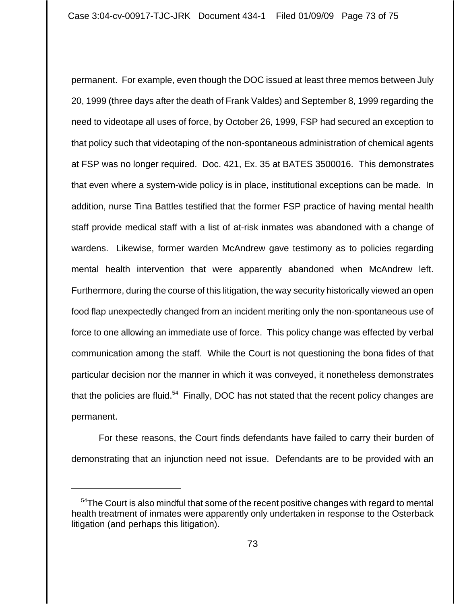permanent. For example, even though the DOC issued at least three memos between July 20, 1999 (three days after the death of Frank Valdes) and September 8, 1999 regarding the need to videotape all uses of force, by October 26, 1999, FSP had secured an exception to that policy such that videotaping of the non-spontaneous administration of chemical agents at FSP was no longer required. Doc. 421, Ex. 35 at BATES 3500016. This demonstrates that even where a system-wide policy is in place, institutional exceptions can be made. In addition, nurse Tina Battles testified that the former FSP practice of having mental health staff provide medical staff with a list of at-risk inmates was abandoned with a change of wardens. Likewise, former warden McAndrew gave testimony as to policies regarding mental health intervention that were apparently abandoned when McAndrew left. Furthermore, during the course of this litigation, the way security historically viewed an open food flap unexpectedly changed from an incident meriting only the non-spontaneous use of force to one allowing an immediate use of force. This policy change was effected by verbal communication among the staff. While the Court is not questioning the bona fides of that particular decision nor the manner in which it was conveyed, it nonetheless demonstrates that the policies are fluid.<sup>54</sup> Finally, DOC has not stated that the recent policy changes are permanent.

For these reasons, the Court finds defendants have failed to carry their burden of demonstrating that an injunction need not issue. Defendants are to be provided with an

 $54$ The Court is also mindful that some of the recent positive changes with regard to mental health treatment of inmates were apparently only undertaken in response to the Osterback litigation (and perhaps this litigation).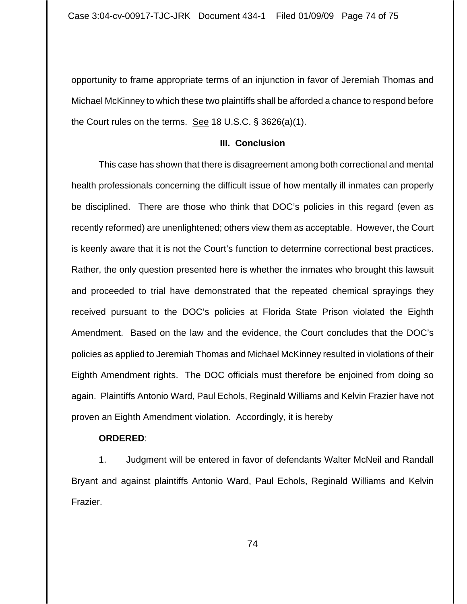opportunity to frame appropriate terms of an injunction in favor of Jeremiah Thomas and Michael McKinney to which these two plaintiffs shall be afforded a chance to respond before the Court rules on the terms. See 18 U.S.C. § 3626(a)(1).

## **III. Conclusion**

This case has shown that there is disagreement among both correctional and mental health professionals concerning the difficult issue of how mentally ill inmates can properly be disciplined. There are those who think that DOC's policies in this regard (even as recently reformed) are unenlightened; others view them as acceptable. However, the Court is keenly aware that it is not the Court's function to determine correctional best practices. Rather, the only question presented here is whether the inmates who brought this lawsuit and proceeded to trial have demonstrated that the repeated chemical sprayings they received pursuant to the DOC's policies at Florida State Prison violated the Eighth Amendment. Based on the law and the evidence, the Court concludes that the DOC's policies as applied to Jeremiah Thomas and Michael McKinney resulted in violations of their Eighth Amendment rights. The DOC officials must therefore be enjoined from doing so again. Plaintiffs Antonio Ward, Paul Echols, Reginald Williams and Kelvin Frazier have not proven an Eighth Amendment violation. Accordingly, it is hereby

## **ORDERED**:

1. Judgment will be entered in favor of defendants Walter McNeil and Randall Bryant and against plaintiffs Antonio Ward, Paul Echols, Reginald Williams and Kelvin Frazier.